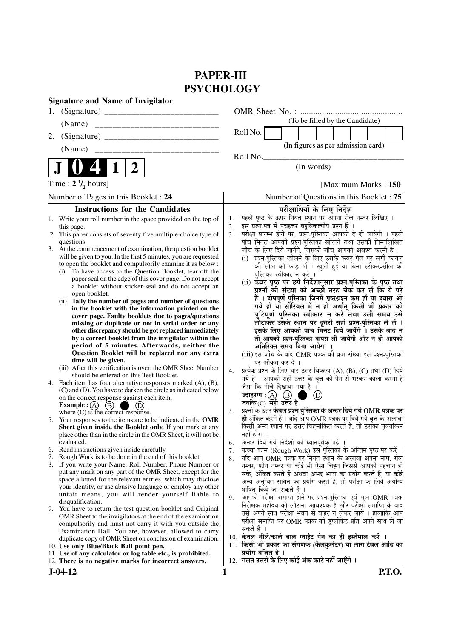# **PAPER-III PSYCHOLOGY**

| <b>Signature and Name of Invigilator</b>                                                                                                                                                                                                                                                                                                                                                                                                                                                                                                                                                                                                                                                                                                                                                                                                                                                                                                                   |                                                                                                                                                                                                                                                                                                                                                                                                                                                                                                                                                                                                                                                                                                                                                                                                                                                                                                                                                                                                                  |               |
|------------------------------------------------------------------------------------------------------------------------------------------------------------------------------------------------------------------------------------------------------------------------------------------------------------------------------------------------------------------------------------------------------------------------------------------------------------------------------------------------------------------------------------------------------------------------------------------------------------------------------------------------------------------------------------------------------------------------------------------------------------------------------------------------------------------------------------------------------------------------------------------------------------------------------------------------------------|------------------------------------------------------------------------------------------------------------------------------------------------------------------------------------------------------------------------------------------------------------------------------------------------------------------------------------------------------------------------------------------------------------------------------------------------------------------------------------------------------------------------------------------------------------------------------------------------------------------------------------------------------------------------------------------------------------------------------------------------------------------------------------------------------------------------------------------------------------------------------------------------------------------------------------------------------------------------------------------------------------------|---------------|
|                                                                                                                                                                                                                                                                                                                                                                                                                                                                                                                                                                                                                                                                                                                                                                                                                                                                                                                                                            |                                                                                                                                                                                                                                                                                                                                                                                                                                                                                                                                                                                                                                                                                                                                                                                                                                                                                                                                                                                                                  |               |
| (Name)                                                                                                                                                                                                                                                                                                                                                                                                                                                                                                                                                                                                                                                                                                                                                                                                                                                                                                                                                     | (To be filled by the Candidate)                                                                                                                                                                                                                                                                                                                                                                                                                                                                                                                                                                                                                                                                                                                                                                                                                                                                                                                                                                                  |               |
| 2.                                                                                                                                                                                                                                                                                                                                                                                                                                                                                                                                                                                                                                                                                                                                                                                                                                                                                                                                                         | Roll No.                                                                                                                                                                                                                                                                                                                                                                                                                                                                                                                                                                                                                                                                                                                                                                                                                                                                                                                                                                                                         |               |
| (Name)                                                                                                                                                                                                                                                                                                                                                                                                                                                                                                                                                                                                                                                                                                                                                                                                                                                                                                                                                     | (In figures as per admission card)                                                                                                                                                                                                                                                                                                                                                                                                                                                                                                                                                                                                                                                                                                                                                                                                                                                                                                                                                                               |               |
|                                                                                                                                                                                                                                                                                                                                                                                                                                                                                                                                                                                                                                                                                                                                                                                                                                                                                                                                                            | Roll No.                                                                                                                                                                                                                                                                                                                                                                                                                                                                                                                                                                                                                                                                                                                                                                                                                                                                                                                                                                                                         |               |
| $\boldsymbol{2}$<br>1                                                                                                                                                                                                                                                                                                                                                                                                                                                                                                                                                                                                                                                                                                                                                                                                                                                                                                                                      | (In words)                                                                                                                                                                                                                                                                                                                                                                                                                                                                                                                                                                                                                                                                                                                                                                                                                                                                                                                                                                                                       |               |
| Time : $2 \frac{1}{2}$ hours]                                                                                                                                                                                                                                                                                                                                                                                                                                                                                                                                                                                                                                                                                                                                                                                                                                                                                                                              | [Maximum Marks: 150]                                                                                                                                                                                                                                                                                                                                                                                                                                                                                                                                                                                                                                                                                                                                                                                                                                                                                                                                                                                             |               |
| Number of Pages in this Booklet : 24                                                                                                                                                                                                                                                                                                                                                                                                                                                                                                                                                                                                                                                                                                                                                                                                                                                                                                                       | Number of Questions in this Booklet: 75                                                                                                                                                                                                                                                                                                                                                                                                                                                                                                                                                                                                                                                                                                                                                                                                                                                                                                                                                                          |               |
| <b>Instructions for the Candidates</b>                                                                                                                                                                                                                                                                                                                                                                                                                                                                                                                                                                                                                                                                                                                                                                                                                                                                                                                     | परीक्षार्थियों के लिए निर्देश                                                                                                                                                                                                                                                                                                                                                                                                                                                                                                                                                                                                                                                                                                                                                                                                                                                                                                                                                                                    |               |
| 1. Write your roll number in the space provided on the top of<br>this page.<br>2. This paper consists of seventy five multiple-choice type of<br>questions.<br>3. At the commencement of examination, the question booklet<br>will be given to you. In the first 5 minutes, you are requested<br>to open the booklet and compulsorily examine it as below :<br>To have access to the Question Booklet, tear off the<br>(i)<br>paper seal on the edge of this cover page. Do not accept<br>a booklet without sticker-seal and do not accept an<br>open booklet.<br>(ii) Tally the number of pages and number of questions<br>in the booklet with the information printed on the<br>cover page. Faulty booklets due to pages/questions<br>missing or duplicate or not in serial order or any<br>other discrepancy should be got replaced immediately<br>by a correct booklet from the invigilator within the<br>period of 5 minutes. Afterwards, neither the | पहले पृष्ठ के ऊपर नियत स्थान पर अपना रोल नम्बर लिखिए ।<br>1.<br>इस प्रश्न-पत्र में पचहत्तर बहुविकल्पीय प्रश्न हैं ।<br>2.<br>परीक्षा प्रारम्भ होने पर, प्रश्न-पुस्तिका आपको दे दी जायेगी । पहले<br>3 <sub>1</sub><br>पाँच मिनट आपको प्रश्न-पुस्तिका खोलने तथा उसकी निम्नलिखित<br>जाँच के लिए दिये जायेंगे, जिसकी जाँच आपको अवश्य करनी है :<br>(i) प्रश्न-पुस्तिका खोलने के लिए उसके कवर पेज पर लगी कागज<br>की सौल को फाड़ लें । खुली हुई या बिना स्टीकर-सील की<br>पुस्तिका स्वीकार न करें ।<br>(ii) कंवर पृष्ठ पर छपे निर्देशानुसार प्रश्न-पुस्तिका के पृष्ठ तथा<br>प्रश्नों की संख्या को अच्छी तरह चैक कर लें कि ये पूरे<br>हैं । दोषपूर्ण पुस्तिका जिनमें पृष्ठ/प्रश्न कम हों या दुबारा आ<br>गये हों या सीरियल में न हों अर्थात् किसी भी प्रकार की<br>त्रुटिपूर्ण पुस्तिका स्वीकार न करें तथा उसी समय उसे<br>लौटाकर उसके स्थान पर दूसरी सही प्रश्न-पुस्तिका ले लें ।<br>इसके लिए आपको पाँच मिनट दिये जायेंगे । उसके बाद न<br>तो आपकी प्रश्न-पुस्तिका वापस ली जायेगी और न ही आपको<br>अतिरिक्त समय दिया जायेगा । |               |
| Question Booklet will be replaced nor any extra<br>time will be given.                                                                                                                                                                                                                                                                                                                                                                                                                                                                                                                                                                                                                                                                                                                                                                                                                                                                                     | (iii) इस जाँच के बाद OMR पत्रक की क्रम संख्या इस प्रश्न-पुस्तिका<br>पर अंकित कर दें ।                                                                                                                                                                                                                                                                                                                                                                                                                                                                                                                                                                                                                                                                                                                                                                                                                                                                                                                            |               |
| (iii) After this verification is over, the OMR Sheet Number<br>should be entered on this Test Booklet.                                                                                                                                                                                                                                                                                                                                                                                                                                                                                                                                                                                                                                                                                                                                                                                                                                                     | प्रत्येक प्रश्न के लिए चार उत्तर विकल्प (A), (B), (C) तथा (D) दिये<br>4.<br>गये हैं । आपको सही उत्तर के वृत्त को पेन से भरकर काला करना है                                                                                                                                                                                                                                                                                                                                                                                                                                                                                                                                                                                                                                                                                                                                                                                                                                                                        |               |
| 4. Each item has four alternative responses marked (A), (B),<br>(C) and (D). You have to darken the circle as indicated below<br>on the correct response against each item.<br>Example : $(A)$<br>(B)                                                                                                                                                                                                                                                                                                                                                                                                                                                                                                                                                                                                                                                                                                                                                      | जैसा कि नीचे दिखाया गया है ।<br>उदाहरण: $(A)$ $(B)$<br>$\left( \mathrm{D}\right)$<br>जबकि $(C)$ सही उत्तर है ।<br>प्रश्नों के उत्तर <b>केवल प्रश्न पुस्तिका के अन्दर दिये गये OMR पत्रक पर</b>                                                                                                                                                                                                                                                                                                                                                                                                                                                                                                                                                                                                                                                                                                                                                                                                                   |               |
| where $(C)$ is the correct response.<br>5. Your responses to the items are to be indicated in the OMR<br>Sheet given inside the Booklet only. If you mark at any<br>place other than in the circle in the OMR Sheet, it will not be                                                                                                                                                                                                                                                                                                                                                                                                                                                                                                                                                                                                                                                                                                                        | 5.<br>ही अंकित करने हैं । यदि आप OMR पत्रक पर दिये गये वृत्त के अलावा<br>किसी अन्य स्थान पर उत्तर चिह्नांकित करते हैं, तो उसका मूल्यांकन<br>नहीं होगा ।                                                                                                                                                                                                                                                                                                                                                                                                                                                                                                                                                                                                                                                                                                                                                                                                                                                          |               |
| evaluated.<br>6. Read instructions given inside carefully.                                                                                                                                                                                                                                                                                                                                                                                                                                                                                                                                                                                                                                                                                                                                                                                                                                                                                                 | अन्दर दिये गये निर्देशों को ध्यानपूर्वक पढ़ें ।<br>6.<br>कच्चा काम (Rough Work) इस पुस्तिका के अन्तिम पृष्ठ पर करें ।<br>7.                                                                                                                                                                                                                                                                                                                                                                                                                                                                                                                                                                                                                                                                                                                                                                                                                                                                                      |               |
| Rough Work is to be done in the end of this booklet.<br>7.                                                                                                                                                                                                                                                                                                                                                                                                                                                                                                                                                                                                                                                                                                                                                                                                                                                                                                 | यदि आप OMR पत्रक पर नियत स्थान के अलावा अपना नाम, रोल<br>8.                                                                                                                                                                                                                                                                                                                                                                                                                                                                                                                                                                                                                                                                                                                                                                                                                                                                                                                                                      |               |
| 8. If you write your Name, Roll Number, Phone Number or<br>put any mark on any part of the OMR Sheet, except for the<br>space allotted for the relevant entries, which may disclose<br>your identity, or use abusive language or employ any other<br>unfair means, you will render yourself liable to<br>disqualification.                                                                                                                                                                                                                                                                                                                                                                                                                                                                                                                                                                                                                                 | नम्बर, फोन नम्बर या कोई भी ऐसा चिह्न जिससे आपकी पहचान हो<br>सके, अंकित करते हैं अथवा अभद्र भाषा का प्रयोग करते हैं, या कोई<br>अन्य अनुचित साधन का प्रयोग करते हैं, तो परीक्षा के लिये अयोग्य<br>घोषित किये जा सकते हैं ।<br>आपको परीक्षा समाप्त होने पर प्रश्न-पुस्तिका एवं मूल OMR पत्रक<br>9.<br>निरीक्षक महोदय को लौटाना आवश्यक है और परीक्षा समाप्ति के बाद                                                                                                                                                                                                                                                                                                                                                                                                                                                                                                                                                                                                                                                  |               |
| 9. You have to return the test question booklet and Original<br>OMR Sheet to the invigilators at the end of the examination<br>compulsorily and must not carry it with you outside the<br>Examination Hall. You are, however, allowed to carry<br>duplicate copy of OMR Sheet on conclusion of examination.<br>10. Use only Blue/Black Ball point pen.                                                                                                                                                                                                                                                                                                                                                                                                                                                                                                                                                                                                     | उसे अपने साथ परीक्षा भवन से बाहर न लेकर जायें । हालांकि आप<br>परीक्षा समाप्ति पर OMR पत्रक की डुप्लीकेट प्रति अपने साथ ले जा<br>सकते हैं ।<br>10. केवल नीले/काले बाल प्वाईंट पेन का ही इस्तेमाल करें ।<br>11. किसी भी प्रकार का संगणक (कैलकुलेटर) या लाग टेबल आदि का                                                                                                                                                                                                                                                                                                                                                                                                                                                                                                                                                                                                                                                                                                                                             |               |
| 11. Use of any calculator or log table etc., is prohibited.<br>12. There is no negative marks for incorrect answers.                                                                                                                                                                                                                                                                                                                                                                                                                                                                                                                                                                                                                                                                                                                                                                                                                                       | प्रयोग वर्जित है ।<br>12. गलत उत्तरों के लिए कोई अंक काटे नहीं जाएँगे ।                                                                                                                                                                                                                                                                                                                                                                                                                                                                                                                                                                                                                                                                                                                                                                                                                                                                                                                                          |               |
| $J-04-12$                                                                                                                                                                                                                                                                                                                                                                                                                                                                                                                                                                                                                                                                                                                                                                                                                                                                                                                                                  | 1                                                                                                                                                                                                                                                                                                                                                                                                                                                                                                                                                                                                                                                                                                                                                                                                                                                                                                                                                                                                                | <b>P.T.O.</b> |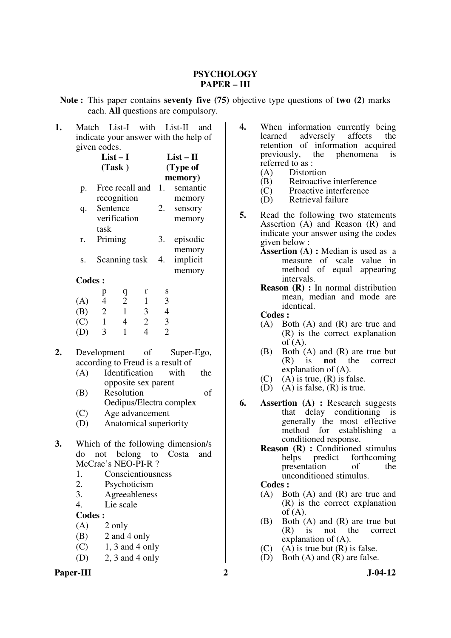#### **PSYCHOLOGY PAPER – III**

**Note :** This paper contains **seventy five (75)** objective type questions of **two (2)** marks each. **All** questions are compulsory.

| 1. | Match                                 |                                    | List-I with List-II    |                                  |                          |                         | and |  |
|----|---------------------------------------|------------------------------------|------------------------|----------------------------------|--------------------------|-------------------------|-----|--|
|    | indicate your answer with the help of |                                    |                        |                                  |                          |                         |     |  |
|    |                                       | given codes.                       |                        |                                  |                          |                         |     |  |
|    |                                       |                                    | $List-I$               |                                  | $List - II$              |                         |     |  |
|    |                                       |                                    | (Task)                 |                                  |                          | (Type of                |     |  |
|    |                                       |                                    |                        |                                  |                          | memory)                 |     |  |
|    | p.                                    |                                    | Free recall and        |                                  | 1.                       | semantic                |     |  |
|    |                                       |                                    | recognition            |                                  |                          | memory                  |     |  |
|    | q.                                    | Sentence                           |                        |                                  | 2.                       | sensory                 |     |  |
|    |                                       |                                    | verification           |                                  |                          | memory                  |     |  |
|    |                                       | task                               |                        |                                  |                          |                         |     |  |
|    | r.                                    | Priming                            |                        |                                  | 3.                       | episodic                |     |  |
|    |                                       |                                    |                        |                                  |                          | memory                  |     |  |
|    | S.                                    |                                    | Scanning task          |                                  | 4.                       | implicit                |     |  |
|    |                                       |                                    |                        |                                  |                          | memory                  |     |  |
|    | <b>Codes:</b>                         |                                    |                        |                                  |                          |                         |     |  |
|    |                                       | p                                  | q                      | r                                | S                        |                         |     |  |
|    | (A)                                   | $\overline{\mathcal{A}}$           | $\overline{c}$         | $\mathbf{1}$                     | 3                        |                         |     |  |
|    | (B)                                   | $\overline{2}$                     | $\mathbf{1}$           | $\overline{\mathbf{3}}$          | $\overline{\mathcal{A}}$ |                         |     |  |
|    | (C)                                   | $\mathbf{1}$                       | $\overline{4}$         | $\overline{c}$<br>$\overline{4}$ | $\frac{3}{2}$            |                         |     |  |
|    | (D)                                   | 3                                  | $\mathbf{1}$           |                                  |                          |                         |     |  |
| 2. |                                       | Development of                     |                        |                                  |                          | Super-Ego,              |     |  |
|    |                                       | according to Freud is a result of  |                        |                                  |                          |                         |     |  |
|    | (A)                                   |                                    | Identification         |                                  |                          | with                    | the |  |
|    | opposite sex parent                   |                                    |                        |                                  |                          |                         |     |  |
|    | (B)                                   |                                    | Resolution             |                                  |                          |                         | οf  |  |
|    |                                       |                                    |                        |                                  |                          | Oedipus/Electra complex |     |  |
|    | (C)                                   | Age advancement                    |                        |                                  |                          |                         |     |  |
|    | (D)                                   |                                    | Anatomical superiority |                                  |                          |                         |     |  |
|    |                                       |                                    |                        |                                  |                          |                         |     |  |
| 3. |                                       | Which of the following dimension/s |                        |                                  |                          |                         |     |  |
|    |                                       | do not belong to Costa and         |                        |                                  |                          |                         |     |  |
|    |                                       | McCrae's NEO-PI-R ?                |                        |                                  |                          |                         |     |  |
|    | 1.                                    |                                    | Conscientiousness      |                                  |                          |                         |     |  |
|    | 2.                                    |                                    | Psychoticism           |                                  |                          |                         |     |  |
|    | 3.                                    |                                    | Agreeableness          |                                  |                          |                         |     |  |
|    | 4.                                    |                                    | Lie scale              |                                  |                          |                         |     |  |
|    | <b>Codes:</b>                         |                                    |                        |                                  |                          |                         |     |  |
|    | (A)                                   |                                    | 2 only                 |                                  |                          |                         |     |  |
|    | (B)                                   |                                    | 2 and 4 only           |                                  |                          |                         |     |  |

- $(C)$  1, 3 and 4 only
- (D) 2, 3 and 4 only

#### **4.** When information currently being<br>learned adversely affects the adversely affects the retention of information acquired previously, the phenomena is referred to as :

- (A) Distortion<br>(B) Retroactiv
- Retroactive interference
- (C) Proactive interference
- (D) Retrieval failure
- **5.** Read the following two statements Assertion (A) and Reason (R) and indicate your answer using the codes given below :
	- **Assertion (A) :** Median is used as a measure of scale value in method of equal appearing intervals.
	- **Reason (R) :** In normal distribution mean, median and mode are identical.

 **Codes :** 

- (A) Both (A) and (R) are true and (R) is the correct explanation of  $(A)$ .
- (B) Both (A) and (R) are true but (R) is **not** the correct explanation of (A).
- $(C)$  (A) is true,  $(R)$  is false.
- (D) (A) is false,  $(R)$  is true.
- **6. Assertion (A) :** Research suggests that delay conditioning is generally the most effective method for establishing a conditioned response.
	- **Reason (R) :** Conditioned stimulus<br>helps predict forthcoming forthcoming<br>of the presentation unconditioned stimulus.

- (A) Both (A) and (R) are true and (R) is the correct explanation of  $(A)$ .
- (B) Both (A) and (R) are true but (R) is not the correct explanation of (A).
- (C) (A) is true but  $(R)$  is false.
- (D) Both (A) and (R) are false.
- Paper-III 2 J-04-12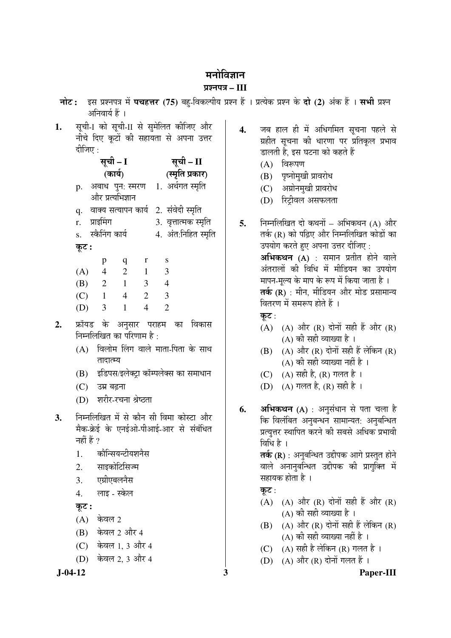## मनोविज्ञान

## ¯ÖÏ¿®Ö¯Ö¡Ö **– III**

- **नोट:** इस प्रश्नपत्र में **पचहत्तर (75)** बह-विकल्पीय प्रश्न हैं । प्रत्येक प्रश्न के **दो (2)** अंक हैं । सभी प्रश्न अनिवार्य हैं ।
- 1. सूची-I को सूची-II से सुमेलित कीजिए और गोचे दिए कूटों की सहायता से अपना उत्तर दीजिए  $\cdot$

|       | सूची – I                             | सूची – II            |
|-------|--------------------------------------|----------------------|
|       | (कार्य)                              | (स्मृति प्रकार)      |
| p.    | अबाध पुन: स्मरण 1. अर्थगत स्मृति     |                      |
|       | और प्रत्यभिज्ञान                     |                      |
| q.    | वाक्य सत्यापन कार्य 2. संवेदी स्मृति |                      |
| r.    | प्राइमिंग                            | 3. वृत्तात्मक स्मृति |
|       | s. स्कैनिंग कार्य                    | 4. अंत:निहित स्मृति  |
| कूट : |                                      |                      |
|       |                                      |                      |

|     | р | q | r | S                           |
|-----|---|---|---|-----------------------------|
| (A) | 4 | 2 | 1 | 3                           |
| (B) | 2 |   | 3 |                             |
| (C) | 1 | 4 | 2 | 3                           |
| (D) | 3 |   |   | $\mathcal{D}_{\mathcal{L}}$ |

- 2. फ्रॉयड के अनुसार पराहम का विकास निम्नलिखित का परिणाम है:
	- $(A)$  विलोम लिंग वाले माता-पिता के साथ तादात्म्य
	- (B) इडिपस/इलेक्ट्रा कॉम्पलेक्स का समाधान
	- $(C)$  उम्र बढना
	- (D) शरीर-रचना श्रेष्ठता
- **3.** निम्नलिखित में से कौन सी विमा कोस्टा और मैक-क्रेई के एनईओ-पीआई-आर से संबंधित नहीं हैं  $\gamma$ 
	- 1. कोन्सियन्टीयशनैस
	- 2. साइकोटिसिज्म
	- 3. एग्रीएबलनैस
	- 4. लाइ स्केल

Ûæú™ü **:** 

- $(A)$  केवल 2
- (B) केवल 2 और 4
- (C) केवल 1, 3 और 4
- (D) केवल 2, 3 और 4

4. जब हाल ही में अधिगमित सूचना पहले से ग्रहीत सूचना की धारणा पर प्रतिकूल प्रभाव डालती है. इस घटना को कहते हैं

- $(A)$  विरूपण
- (B) पृष्नोमुखी प्रावरोध
- (C) अग्रोनमुखी प्रावरोध
- (D) रिट्रीवल असफलता
- **5.** निम्नलिखित दो कथनों अभिकथन (A) और तर्क (R) को पढ़िए और निम्नलिखित कोडों का उपयोग करते हए अपना उत्तर दीजिए :  $\overline{\mathbf{a}}$ भिकथन (A) : समान प्रतीत होने वाले अंतरालों की विधि में मीडियन का उपयोग मापन-मल्य के माप के रूप में किया जाता है । तर्क (R) : मीन, मीडियन और मोड प्रसामान्य <u>वितरण में समरूप होते हैं ।</u>
	- कट $:$
	- (A) (A) और (R) दोनों सही हैं और (R)  $(A)$  की सही व्याख्या है ।
	- $(B)$   $(A)$  और  $(R)$  दोनों सही हैं लेकिन  $(R)$ (A) की सही व्याख्या नहीं है ।
	- (C) (A) सही है, (R) गलत है ।
	- (D) (A) गलत है, (R) सही है ।
- **6. अभिकथन (A)** : अनुसंधान से पता चला है कि विलंबित अनुबन्धन सामान्यत: अनुबन्धित प्रत्युत्तर स्थापित करने की सबसे अधिक प्रभावी विधि है ।

**तर्क (R)** : अनुबन्धित उद्दीपक आगे प्रस्तुत होने वाले अनानुबन्धित उद्दीपक की प्रागुक्ति में सहायक होता है ।

कूट $:$ 

- $(A)$   $(A)$  और  $(R)$  दोनों सही हैं और  $(R)$  $(A)$  की सही व्याख्या है ।
- $(B)$   $(A)$  और  $(R)$  दोनों सही हैं लेकिन  $(R)$ (A) की सही व्याख्या नहीं है ।
- (C)  $(A)$  सही है लेकिन (R) गलत है ।
- $(D)$   $(A)$  और  $(R)$  दोनों गलत हैं।

 **J-04-12 3 Paper-III**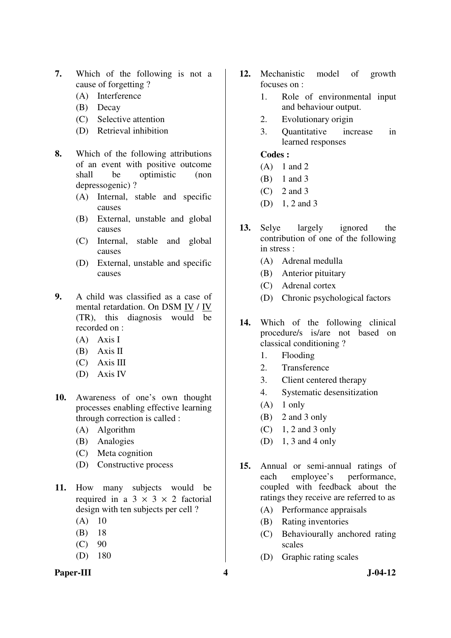- **7.** Which of the following is not a cause of forgetting ?
	- (A) Interference
	- (B) Decay
	- (C) Selective attention
	- (D) Retrieval inhibition
- **8.** Which of the following attributions of an event with positive outcome shall be optimistic (non depressogenic) ?
	- (A) Internal, stable and specific causes
	- (B) External, unstable and global causes
	- (C) Internal, stable and global causes
	- (D) External, unstable and specific causes
- **9.** A child was classified as a case of mental retardation. On DSM IV / IV (TR), this diagnosis would be recorded on :
	- (A) Axis I
	- (B) Axis II
	- (C) Axis III
	- (D) Axis IV
- **10.** Awareness of one's own thought processes enabling effective learning through correction is called :
	- (A) Algorithm
	- (B) Analogies
	- (C) Meta cognition
	- (D) Constructive process
- **11.** How many subjects would be required in a  $3 \times 3 \times 2$  factorial design with ten subjects per cell ?
	- $(A)$  10
	- (B) 18
	- $(C) 90$
	- (D) 180
- **12.** Mechanistic model of growth focuses on :
	- 1. Role of environmental input and behaviour output.
	- 2. Evolutionary origin
	- 3. Quantitative increase in learned responses

- (A) 1 and 2
- (B) 1 and 3
- (C) 2 and 3
- (D) 1, 2 and 3
- **13.** Selye largely ignored the contribution of one of the following in stress :
	- (A) Adrenal medulla
	- (B) Anterior pituitary
	- (C) Adrenal cortex
	- (D) Chronic psychological factors
- **14.** Which of the following clinical procedure/s is/are not based on classical conditioning ?
	- 1. Flooding
	- 2. Transference
	- 3. Client centered therapy
	- 4. Systematic desensitization
	- $(A)$  1 only
	- (B) 2 and 3 only
	- $(C)$  1, 2 and 3 only
	- (D) 1, 3 and 4 only
- **15.** Annual or semi-annual ratings of each employee's performance, coupled with feedback about the ratings they receive are referred to as
	- (A) Performance appraisals
	- (B) Rating inventories
	- (C) Behaviourally anchored rating scales
	- (D) Graphic rating scales
- Paper-III **4** J-04-12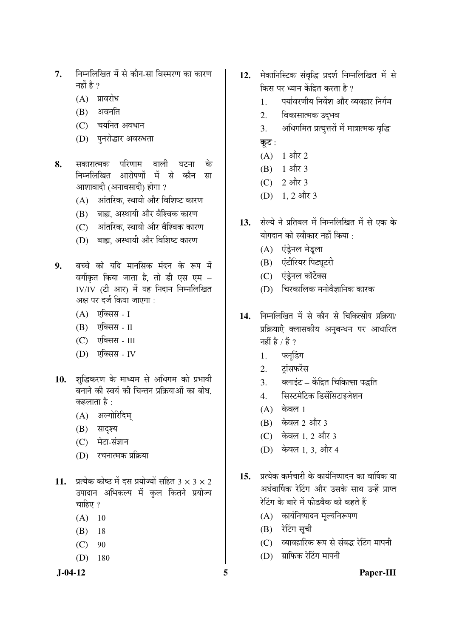- 7. निम्नलिखित में से कौन-सा विस्मरण का कारण नहीं है $\gamma$ 
	- $(A)$  प्रावरोध
	- $(B)$  अवनति
	- $(C)$  चयनित अवधान
	- (D) पुनरोद्धार अवरुधता
- **8.** सकारात्मक परिणाम वाली घटना के निम्नलिखित आरोपणों में से कौन सा आशावादी (अनावसादी) होगा ?
	- $(A)$  and  $\overline{O}$  and  $\overline{O}$  and  $\overline{O}$  and  $\overline{O}$
	- (B) बाह्य, अस्थायी और वैश्विक कारण
	- (C) अंतरिक, स्थायी और वैश्विक कारण
	- $(D)$  बाह्य, अस्थायी और विशिष्ट कारण
- 9. बच्चे को यदि मानसिक मंदन के रूप में वर्गीकृत किया जाता है, तो डी एस एम  $-$ IV/IV (टी आर) में यह निदान निम्नलिखित अक्ष पर दर्ज किया जाएगा :
	- $(A)$  एक्सिस I
	- $(B)$  एक्सिस II
	- (C) एक्सिस III
	- (D) एक्सिस IV
- 10. शब्द्धिकरण के माध्यम से अधिगम को प्रभावी बनाने की स्वयं की चिन्तन प्रक्रियाओं का बोध. कहलाता है :
	- (A) अल्गोरिदिम्
	- (B) सादृश्य
	- $(C)$  मेटा-संज्ञान
	- (D) रचनात्मक प्रक्रिया
- **11.** प्रत्येक कोष्ठ में दस प्रयोज्यों सहित 3  $\times$  3  $\times$  2 उपादान अभिकल्प में कुल कितने प्रयोज्य चाहिए ?
	- $(A)$  10
	- (B) 18
	- $(C) 90$
	- (D) 180
- 12. मेकानिस्टिक संवृद्धि प्रदर्श निम्नलिखित में से किस पर ध्यान केंद्रित करता है ?
	- 1. वर्यावरणीय निर्वेश और व्यवहार निर्गम
	- 2. विकासात्मक उद**भ**व
	- 3. अधिगमित प्रत्युत्तरों में मात्रात्मक वृद्धि कूट :
	- $(A)$  1 और 2
	- (B)  $1 \text{ and } 3$
	- $(C)$  2 और 3
	- (D)  $1, 2$  और 3
- 13. सेल्ये ने प्रतिबल में निम्नलिखित में से एक के योगदान को स्वीकार नहीं किया $\, \cdot \,$ 
	- (A) एंड्रेनल मेडूला
	- (B) एंटीरियर पिट्यूटरी
	- (C) एंडेनल कॉर्टेक्स
	- $(D)$  घिरकालिक मनोवैज्ञानिक कारक
- 14. निम्नलिखित में से कौन से चिकित्सीय प्रक्रिया/ प्रक्रियाएँ क्लासकीय अनुबन्धन पर आधारित नहीं है / हैं ?
	- 1. फ्लडिंग
	- 2. टांसफरेंस
	- 3. वलाइंट केंद्रित चिकित्सा पद्धति
	- 4. सिस्टमेटिक डिसेंसिटाइजेशन
	- $(A)$  केवल 1
	- (B) केवल 2 और 3
	- (C) केवल 1, 2 और 3
	- (D) केवल 1, 3, और 4
- 15. प्रत्येक कर्मचारी के कार्यनिष्पादन का वार्षिक या अर्धवार्षिक रेटिंग और उसके साथ उन्हें प्राप्त रेटिंग के बारे में फीडबैक को कहते हैं
	- $(A)$  कार्यनिष्पादन मृल्यनिरूपण
	- $(B)$  रेटिंग सूची
	- (C) व्यावहारिक रूप से संबद्ध रेटिंग मापनी
	- $(D)$  प्राफिक रेटिंग मापनी

#### **J-04-12 5 Paper-III**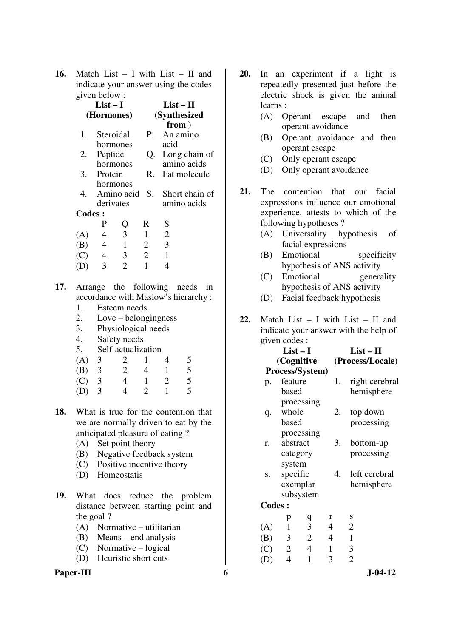**16.** Match List – I with List – II and indicate your answer using the codes given below :

|     | $List-I$<br>(Hormones) |                |                |                       |                       | $List-II$                    |    |  |
|-----|------------------------|----------------|----------------|-----------------------|-----------------------|------------------------------|----|--|
|     |                        |                |                |                       | (Synthesized<br>from) |                              |    |  |
|     | 1.                     |                | Steroidal      | P.                    |                       | An amino                     |    |  |
|     |                        |                | hormones       |                       | acid                  |                              |    |  |
|     | 2.                     | Peptide        |                | Q.                    |                       | Long chain of                |    |  |
|     |                        |                | hormones       |                       |                       | amino acids                  |    |  |
|     |                        | 3. Protein     |                | R.                    |                       | Fat molecule                 |    |  |
|     |                        |                | hormones       |                       |                       |                              |    |  |
|     | 4.                     |                |                |                       |                       | Amino acid S. Short chain of |    |  |
|     |                        |                | derivates      |                       |                       | amino acids                  |    |  |
|     | <b>Codes:</b>          |                |                |                       |                       |                              |    |  |
|     |                        | P              |                | R                     | S                     |                              |    |  |
|     | (A)                    | 4              | Q<br>3         | 1                     | $\mathbf{2}$          |                              |    |  |
|     | (B)                    | $\overline{4}$ | $\mathbf{1}$   | $\overline{2}$        | 3                     |                              |    |  |
|     | (C)                    | $\overline{4}$ | $\mathfrak{Z}$ | $\overline{2}$        | 1                     |                              |    |  |
|     | (D)                    | 3              | $\overline{2}$ | $\mathbf{1}$          | 4                     |                              |    |  |
| 17. |                        |                |                | Arrange the following |                       | needs                        | in |  |

- **17.** Arrange the following needs in accordance with Maslow's hierarchy :
	- 1. Esteem needs
	- 2. Love belongingness
	- 3. Physiological needs
	- 4. Safety needs
	- 5. Self-actualization
- (A) 3 2 1 4 5 (B) 3 2 4 1 5 (C) 3 4 1 2 5
	- (D) 3 4 2 1 5
- **18.** What is true for the contention that we are normally driven to eat by the anticipated pleasure of eating ?
	- (A) Set point theory
	- (B) Negative feedback system
	- (C) Positive incentive theory
	- (D) Homeostatis
- **19.** What does reduce the problem distance between starting point and the goal ?
	- (A) Normative utilitarian
	- (B) Means end analysis
	- (C) Normative logical
	- (D) Heuristic short cuts

## **Paper-III** 6 J-04-12

- **20.** In an experiment if a light is repeatedly presented just before the electric shock is given the animal learns :
	- (A) Operant escape and then operant avoidance
	- (B) Operant avoidance and then operant escape
	- (C) Only operant escape
	- (D) Only operant avoidance
- **21.** The contention that our facial expressions influence our emotional experience, attests to which of the following hypotheses ?
	- (A) Universality hypothesis of facial expressions
	- (B) Emotional specificity hypothesis of ANS activity
	- (C) Emotional generality hypothesis of ANS activity
	- (D) Facial feedback hypothesis
- **22.** Match List I with List II and indicate your answer with the help of given codes :

|               | $List-I$<br>(Cognitive | Process/System) |                | $List - II$<br>(Process/Locale) |
|---------------|------------------------|-----------------|----------------|---------------------------------|
| p.            | feature                |                 | 1.             | right cerebral                  |
|               | based                  |                 |                | hemisphere                      |
|               |                        | processing      |                |                                 |
| q.            | whole                  |                 | 2.             | top down                        |
|               | based                  |                 |                | processing                      |
|               |                        | processing      |                |                                 |
| r.            | abstract               |                 | 3.             | bottom-up                       |
|               | category               |                 |                | processing                      |
|               | system                 |                 |                |                                 |
| S.            | specific               |                 | 4.             | left cerebral                   |
|               |                        | exemplar        |                | hemisphere                      |
|               |                        | subsystem       |                |                                 |
| <b>Codes:</b> |                        |                 |                |                                 |
|               | p                      | q               | r              | S                               |
| (A)           | $\mathbf{1}$           | $\mathfrak{Z}$  | $\overline{4}$ | $\overline{2}$                  |
| (B)           | 3                      | $\overline{2}$  | $\overline{4}$ | $\mathbf{1}$                    |
| (C)           | $\overline{2}$         | $\overline{4}$  | 1              | $\mathfrak{Z}$                  |
| (D)           | $\overline{4}$         | $\mathbf{1}$    | 3              | $\overline{2}$                  |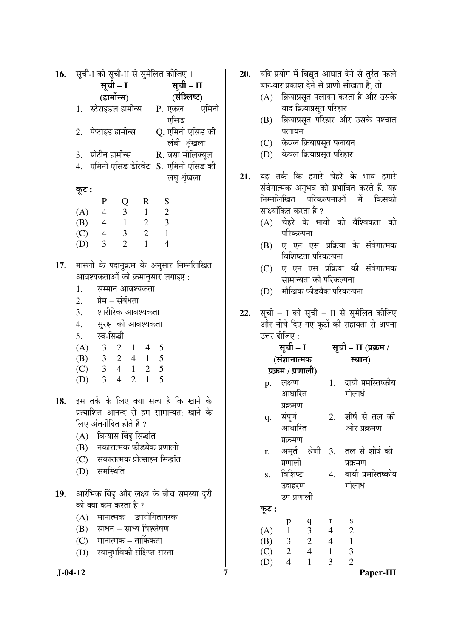|     | 16. सूची-I को सूची-II से सुमेलित कीजिए । |                                     |                 |                |                          |                                                   |  |
|-----|------------------------------------------|-------------------------------------|-----------------|----------------|--------------------------|---------------------------------------------------|--|
|     | सूची – I                                 |                                     |                 |                | सूची - II                |                                                   |  |
|     | (हार्मोन्स)                              |                                     |                 |                |                          | (संश्लिष्ट)                                       |  |
|     |                                          | 1. स्टेराइडल हार्मोन्स P. एकल एमिनो |                 |                |                          | एसिड                                              |  |
|     |                                          | 2. पेप्टाइड हार्मोन्स               |                 |                |                          | Q. एमिनो एसिड की<br>लंबी शृंखला                   |  |
|     |                                          | 3.   प्रोटीन हार्मोन्स              |                 |                |                          | R. वसा मोलिक्यूल                                  |  |
|     |                                          |                                     |                 |                |                          | 4.   एमिनो एसिड डेरिवेट   S.  एमिनो एसिड की       |  |
|     |                                          |                                     |                 |                |                          | लघु शृंखला                                        |  |
|     | कूट :                                    |                                     |                 |                |                          |                                                   |  |
|     |                                          | $\mathbf{P}$                        | Q               |                | R S                      |                                                   |  |
|     |                                          | (A) 4 3                             |                 | $\overline{1}$ | $\overline{\phantom{a}}$ |                                                   |  |
|     |                                          | (B) $4 \t1$                         |                 |                | $2 \quad 3$              |                                                   |  |
|     |                                          | $(C)$ 4 3                           |                 | $\overline{2}$ | $\overline{1}$           |                                                   |  |
|     |                                          | $(D)$ 3                             | $\overline{2}$  | $\mathbf{1}$   | $\overline{4}$           |                                                   |  |
| 17. |                                          | आवश्यकताओं को क्रमानुसार लगाइए :    |                 |                |                          | मास्लो के पदानुक्रम के अनुसार निम्नलिखित          |  |
|     | 1.                                       |                                     | सम्मान आवश्यकता |                |                          |                                                   |  |
|     | 2.                                       |                                     | प्रेम – संबंधता |                |                          |                                                   |  |
|     |                                          | 3. शारीरिक आवश्यकता                 |                 |                |                          |                                                   |  |
|     |                                          | 4.     सुरक्षा की आवश्यकता          |                 |                |                          |                                                   |  |
|     |                                          | 5. स्व-सिद्धी                       |                 |                |                          |                                                   |  |
|     |                                          | $(A)$ 3 2 1 4 5                     |                 |                |                          |                                                   |  |
|     |                                          |                                     |                 |                |                          |                                                   |  |
|     |                                          | (B) 3 2 4 1 5<br>(C) 3 4 1 2 5      |                 |                |                          |                                                   |  |
|     |                                          | (D) 3                               | $4\quad 2$      |                | $1 \quad 5$              |                                                   |  |
|     |                                          |                                     |                 |                |                          | <b>18.</b> इस तर्क के लिए क्या सत्य है कि खाने के |  |
|     |                                          |                                     |                 |                |                          | प्रत्याशित आनन्द से हम सामान्यत: खाने के          |  |
|     |                                          | लिए अंतर्नोदित होते हैं ?           |                 |                |                          |                                                   |  |
|     |                                          | (A) विन्यास बिंदु सिद्धांत          |                 |                |                          |                                                   |  |
|     |                                          | (B) नकारात्मक फीडबैक प्रणाली        |                 |                |                          |                                                   |  |
|     |                                          | (C) सकारात्मक प्रोत्साहन सिद्धांत   |                 |                |                          |                                                   |  |
|     |                                          | (D) समस्थिति                        |                 |                |                          |                                                   |  |
|     |                                          |                                     |                 |                |                          |                                                   |  |
|     |                                          |                                     |                 |                |                          | 19. आरंभिक बिंदु और लक्ष्य के बीच समस्या दूरी     |  |
|     |                                          | को क्या कम करता है ?                |                 |                |                          |                                                   |  |
|     |                                          | (A) मानात्मक – उपयोगितापरक          |                 |                |                          |                                                   |  |
|     |                                          | (B) साधन – साध्य विश्लेषण           |                 |                |                          |                                                   |  |
|     |                                          | (C) मानात्मक – तार्किकता            |                 |                |                          |                                                   |  |
|     |                                          | (D) स्वानुभविकी संक्षिप्त रास्ता    |                 |                |                          |                                                   |  |
|     |                                          |                                     |                 |                |                          |                                                   |  |

- 20. यदि प्रयोग में विद्युत आघात देने से तुरंत पहले बार-बार प्रकाश देने से प्राणी सीखता है, तो
	- $(A)$  क्रियाप्रसत पलायन करता है और उसके बाद क्रियाप्रसृत परिहार
	- (B) क्रियाप्रसूत परिहार और उसके पश्चात पलायन
	- (C) केवल क्रियाप्रसूत पलायन
	- (D) केवल क्रियाप्रस्**त परिहा**र
- 21. यह तर्क कि हमारे चेहरे के भाव हमारे संवेगात्मक अनुभव को प्रभावित करते हैं, यह निम्नलिखित परिकल्पनाओं में किसको साक्ष्यांकित करता है ?
	- $(A)$  चेहरे के भावों की वैश्विकता की परिकल्पना
	- (B) ए एन एस प्रक्रिया के संवेगात्मक विशिष्टता परिकल्पना
	- (C) ए एन एस प्रक्रिया की संवेगात्मक सामान्यता की परिकल्पना
	- (D) मौखिक फीडबैक परिकल्पना
- 22. सूची I को सूची II से सुमेलित कीजिए और नीचे दिए गए कूटों की सहायता से अपना उत्तर दीजिए :

|           | (A)<br>$3 \t2 \t1$<br>$\overline{4}$<br>5                                                                                                        |          | सूची – I                       |                     |                 | सूची – II (प्रक्रम /                                                  |
|-----------|--------------------------------------------------------------------------------------------------------------------------------------------------|----------|--------------------------------|---------------------|-----------------|-----------------------------------------------------------------------|
|           | (B) $3 \t2 \t4 \t1 \t5$                                                                                                                          |          | (संज्ञानात्मक                  |                     |                 | स्थान)                                                                |
|           | $(C)$ 3 4 1 2 5                                                                                                                                  |          | प्रक्रम / प्रणाली)             |                     |                 |                                                                       |
|           | $\overline{4}$<br>2 1<br>5<br>(D)<br>3                                                                                                           | p.       | लक्षण<br>आधारित                |                     |                 | 1. दायाँ प्रमस्तिष्कीय<br>गोलार्ध                                     |
| 18.       | इस तर्क के लिए क्या सत्य है कि खाने के<br>प्रत्याशित आनन्द से हम सामान्यत: खाने के<br>लिए अंतर्नोदित होते हैं ?<br>विन्यास बिंदु सिद्धांत<br>(A) | q.       | प्रक्रमण<br>संपूर्ण<br>आधारित  |                     |                 | 2. शीर्ष से तल की<br>ओर प्रक्रमण                                      |
|           | नकारात्मक फीडबैक प्रणाली<br>(B)<br>(C) सकारात्मक प्रोत्साहन सिद्धांत<br>समस्थिति<br>(D)                                                          | r.<br>S. | प्रक्रमण<br>प्रणाली<br>विशिष्ट |                     |                 | अमूर्त श्रेणी 3. तल से शीर्ष को<br>प्रक्रमण<br>4. बायाँ प्रमस्तिष्कीय |
| 19.       | आरंभिक बिंदु और लक्ष्य के बीच समस्या दूरी<br>को क्या कम करता है ?                                                                                |          | उदाहरण<br>उप प्रणाली           |                     |                 | गोलार्ध                                                               |
|           | (A) मानात्मक – उपयोगितापरक                                                                                                                       | कूट :    | p                              |                     | r               | S                                                                     |
|           | (B) साधन – साध्य विश्लेषण                                                                                                                        | (A)      | 1                              | $\frac{q}{3}$       | $4\overline{ }$ | $\mathbf{2}$                                                          |
|           | $(C)$ मानात्मक – तार्किकता                                                                                                                       | (B)      | $3\qquad 2$                    |                     | $\overline{4}$  | $\mathbf{1}$                                                          |
|           | स्वानुभविकी संक्षिप्त रास्ता<br>(D)                                                                                                              | (C)      |                                | $2 \quad 4 \quad 1$ |                 | 3                                                                     |
|           |                                                                                                                                                  | (D)      | $\overline{4}$                 | $\mathbf{1}$        | 3               | $\overline{2}$                                                        |
| $J-04-12$ |                                                                                                                                                  |          |                                |                     |                 | Paper-III                                                             |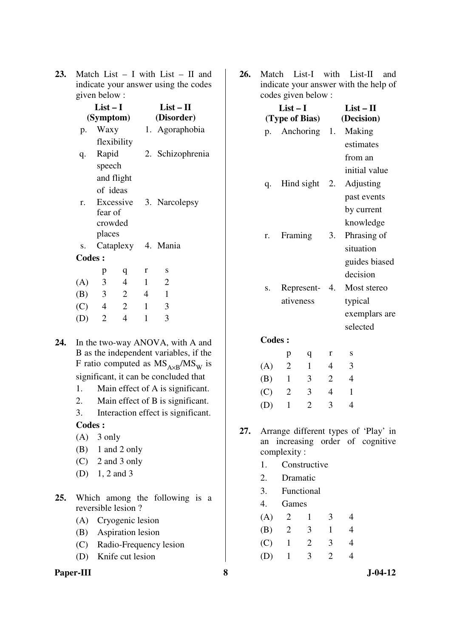**23.** Match List – I with List – II and indicate your answer using the codes given below :

|               | $List-I$       | (Symptom)      | List – II<br>(Disorder) |                    |  |  |
|---------------|----------------|----------------|-------------------------|--------------------|--|--|
| p.            | Waxy           |                |                         | 1. Agoraphobia     |  |  |
|               |                | flexibility    |                         |                    |  |  |
| q.            | Rapid          |                |                         | 2. Schizophrenia   |  |  |
|               | speech         |                |                         |                    |  |  |
|               |                | and flight     |                         |                    |  |  |
|               | of ideas       |                |                         |                    |  |  |
| r.            |                | Excessive      |                         | 3. Narcolepsy      |  |  |
|               | fear of        |                |                         |                    |  |  |
|               | crowded        |                |                         |                    |  |  |
|               | places         |                |                         |                    |  |  |
| S.            |                |                |                         | Cataplexy 4. Mania |  |  |
| <b>Codes:</b> |                |                |                         |                    |  |  |
|               | p              | q              | r                       | S                  |  |  |
| (A)           | $\overline{3}$ | $\overline{4}$ | $\mathbf{1}$            | $\overline{2}$     |  |  |
| (B)           | $\overline{3}$ | $\overline{2}$ | $\overline{4}$          | $\mathbf{1}$       |  |  |
| $(C)$ 4       |                | 2              | $\mathbf{1}$            | 3                  |  |  |
| (D)           | $\overline{2}$ | $\overline{4}$ | $\mathbf{1}$            | 3                  |  |  |
|               |                |                |                         |                    |  |  |

- **24.** In the two-way ANOVA, with A and B as the independent variables, if the F ratio computed as  $MS<sub>A\times B</sub>/MS<sub>W</sub>$  is significant, it can be concluded that
	- 1. Main effect of A is significant.
	- 2. Main effect of B is significant.
	- 3. Interaction effect is significant.

#### **Codes :**

- $(A)$  3 only
- (B) 1 and 2 only
- (C) 2 and 3 only
- (D) 1, 2 and 3
- **25.** Which among the following is a reversible lesion ?
	- (A) Cryogenic lesion
	- (B) Aspiration lesion
	- (C) Radio-Frequency lesion
	- (D) Knife cut lesion

## **Paper-III** 8 J-04-12

**26.** Match List-I with List-II and indicate your answer with the help of codes given below :

|               | $List-I$<br>(Type of Bias) |                  |                | $List-II$<br>(Decision) |
|---------------|----------------------------|------------------|----------------|-------------------------|
| p.            |                            | Anchoring 1.     |                | Making                  |
|               |                            |                  |                | estimates               |
|               |                            |                  |                | from an                 |
|               |                            |                  |                | initial value           |
| q.            |                            | Hind sight $2$ . |                | Adjusting               |
|               |                            |                  |                | past events             |
|               |                            |                  |                | by current              |
|               |                            |                  |                | knowledge               |
| r.            | Framing                    |                  | 3.             | Phrasing of             |
|               |                            |                  |                | situation               |
|               |                            |                  |                | guides biased           |
|               |                            |                  |                | decision                |
| S.            |                            | Represent- 4.    |                | Most stereo             |
|               | ativeness                  |                  |                | typical                 |
|               |                            |                  |                | exemplars are           |
|               |                            |                  |                | selected                |
| <b>Codes:</b> |                            |                  |                |                         |
|               | p                          | q                | r              | S                       |
| (A)           | $\overline{2}$             | 1                | $\overline{4}$ | 3                       |
| (B)           | $\overline{1}$             | 3                | $\overline{2}$ | $\overline{4}$          |
| (C)           | $\overline{2}$             | 3                | $\overline{4}$ | $\mathbf{1}$            |

**27.** Arrange different types of 'Play' in an increasing order of cognitive complexity :

(D) 1 2 3 4

- 1. Constructive
- 2. Dramatic
- 3. Functional

4. Games

| (A)     | $\mathbf{2}$ |   | 3              |  |
|---------|--------------|---|----------------|--|
| (B) 2   |              | 3 | $\mathbf{I}$   |  |
| $(C)$ 1 |              | 2 | 3              |  |
| (D)     | $\mathbf{1}$ | 3 | $\overline{2}$ |  |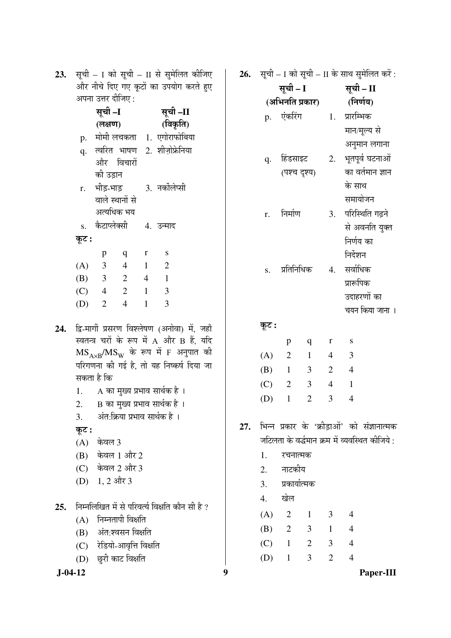23. सूची – I को सूची – II से सुमेलित कीजिए और नीचे दिए गए कूटों का उपयोग करते हुए अपना उत्तर दीजिए :

|     | सूची –I |                 |                |              | सूची –II                                      |  |  |  |  |
|-----|---------|-----------------|----------------|--------------|-----------------------------------------------|--|--|--|--|
|     |         | (लक्षण)         |                |              | (विकृति)                                      |  |  |  |  |
|     |         |                 |                |              | p. मोमी लचकता 1. एगोराफोबिया                  |  |  |  |  |
|     |         |                 |                |              | q. त्वरित भाषण 2. शीज़ोफ्रेनिया               |  |  |  |  |
|     |         | और विचारों      |                |              |                                               |  |  |  |  |
|     |         | की उड़ान        |                |              |                                               |  |  |  |  |
|     |         | r. भीड़-भाड़    |                |              | 3. नर्कोलेप्सी                                |  |  |  |  |
|     |         | वाले स्थानों से |                |              |                                               |  |  |  |  |
|     |         | अत्यधिक भय      |                |              |                                               |  |  |  |  |
|     |         | s. कैटाप्लेक्सी |                |              | 4. उन्माद                                     |  |  |  |  |
|     | कूट :   |                 |                |              |                                               |  |  |  |  |
|     |         | p               | q              | $\mathbf r$  | ${\bf S}$                                     |  |  |  |  |
|     |         | $(A)$ 3         | $\overline{4}$ | $1 \quad 2$  |                                               |  |  |  |  |
|     |         | $(B)$ 3 2 4 1   |                |              |                                               |  |  |  |  |
|     |         | $(C)$ 4 2 1     |                |              | $\overline{3}$                                |  |  |  |  |
|     | (D)     | $\overline{2}$  | $\overline{4}$ | $\mathbf{1}$ | 3                                             |  |  |  |  |
|     |         |                 |                |              |                                               |  |  |  |  |
| 24. |         |                 |                |              | द्वि-मार्गी प्रसरण विश्लेषण (अनोवा) में, जहाँ |  |  |  |  |
|     |         |                 |                |              | स्वतन्त्र चरों के रूप में A और B हैं, यदि     |  |  |  |  |

- स्वतन्त्र चरों के रूप में A और B हैं, यदि  $\mathrm{MS}_{\mathrm{A}\times\mathrm{B}}/\mathrm{MS}_{\mathrm{W}}$  के रूप में F अनुपात की परिगणना की गई है, तो यह निष्कर्ष दिया जा सकता है कि
	- 1. A का मुख्य प्रभाव सार्थक है ।
	- 2. B का मुख्य प्रभाव सार्थक है ।
	- 3. अंत:क्रिया प्रभाव सार्थक है ।
	- कूट :
	- $(A)$  केवल 3
	- $(B)$  केवल 1 और 2
	- $(C)$  केवल 2 और 3
	- $(D)$  1, 2 और 3
- 25. निम्नलिखित में से परिवर्त्य विक्षति कौन सी है ?
	- $(A)$  निम्नतापी विक्षति
	- $(B)$  अंत:श्वसन विक्षति
	- $(C)$  रेडियो-आवृत्ति विक्षति
	- (D) छुरी काट विक्षति
- 

**26.** सूची – I को सूची – II के साथ सुमेलित करें :

|         | सूची – I        | सूची – II      |                |                                                 |  |  |
|---------|-----------------|----------------|----------------|-------------------------------------------------|--|--|
|         | (अभिनति प्रकार) |                |                | (निर्णय)                                        |  |  |
|         | p. एंकरिंग      |                | 1.             | प्रारम्भिक                                      |  |  |
|         |                 |                |                | मान/मूल्य से                                    |  |  |
|         |                 |                |                | अनुमान लगाना                                    |  |  |
| q.      |                 | हिंडसाइट       |                | 2. भूतपूर्व घटनाओं                              |  |  |
|         | (पश्च दृश्य)    |                |                | का वर्तमान ज्ञान                                |  |  |
|         |                 |                |                | के साथ                                          |  |  |
|         |                 |                |                | समायोजन                                         |  |  |
| r.      | निर्माण         |                |                | 3. परिस्थिति गढ़ने                              |  |  |
|         |                 |                |                | से अवनति युक्त                                  |  |  |
|         |                 |                |                | निर्णय का                                       |  |  |
|         |                 |                |                | निर्देशन                                        |  |  |
| S.      | प्रतिनिधिक      |                |                | 4. सर्वाधिक                                     |  |  |
|         |                 |                |                | प्रारूपिक                                       |  |  |
|         |                 |                |                | उदाहरणों का                                     |  |  |
|         |                 |                |                | चयन किया जाना ।                                 |  |  |
| कूट :   |                 |                |                |                                                 |  |  |
|         | p               | q              | r              | S                                               |  |  |
| (A)     | $\overline{2}$  | $\overline{1}$ | $\overline{4}$ | $\overline{\mathbf{3}}$                         |  |  |
| (B)     | $\overline{1}$  | $\overline{3}$ | $\overline{2}$ | $\overline{4}$                                  |  |  |
| $(C)$ 2 |                 | 3              | $\overline{4}$ | $\mathbf{1}$                                    |  |  |
| (D)     | $\mathbf{1}$    | $\overline{2}$ | 3              | $\overline{4}$                                  |  |  |
|         |                 |                |                |                                                 |  |  |
|         |                 |                |                | 27. भिन्न प्रकार के 'क्रीड़ाओं' को संज्ञानात्मक |  |  |
|         |                 |                |                | जटिलता के वर्द्धमान क्रम में व्यवस्थित कीजिये : |  |  |
| 1.      | रचनात्मक        |                |                |                                                 |  |  |
|         | 2. नाटकीय       |                |                |                                                 |  |  |
| 3.      | प्रकार्यात्मक   |                |                |                                                 |  |  |
|         | 4. खेल          |                |                |                                                 |  |  |
| $(A)$ 2 |                 | $\blacksquare$ | 3              | $\overline{4}$                                  |  |  |
| (B)     | $\overline{2}$  | 3 <sup>1</sup> | $\mathbf{1}$   | $\overline{4}$                                  |  |  |

 (C) 1 2 3 4 (D) 1 3 2 4

```
 J-04-12 9 Paper-III
```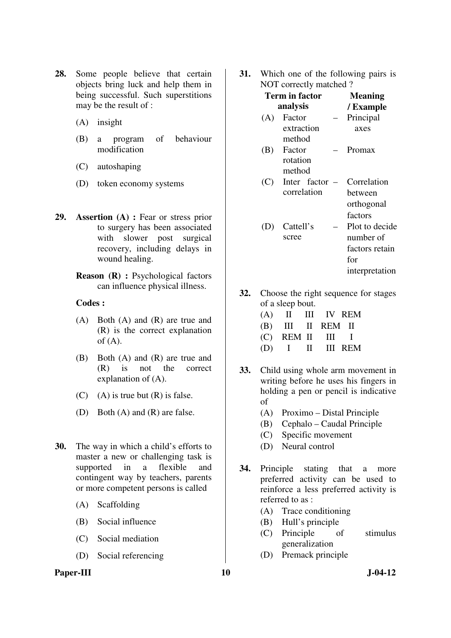- **28.** Some people believe that certain objects bring luck and help them in being successful. Such superstitions may be the result of :
	- (A) insight
	- (B) a program of behaviour modification
	- (C) autoshaping
	- (D) token economy systems
- **29. Assertion (A) :** Fear or stress prior to surgery has been associated with slower post surgical recovery, including delays in wound healing.
	- **Reason (R) :** Psychological factors can influence physical illness.

- (A) Both (A) and (R) are true and (R) is the correct explanation of  $(A)$ .
- (B) Both (A) and (R) are true and (R) is not the correct explanation of (A).
- $(C)$  (A) is true but  $(R)$  is false.
- (D) Both (A) and (R) are false.
- **30.** The way in which a child's efforts to master a new or challenging task is supported in a flexible and contingent way by teachers, parents or more competent persons is called
	- (A) Scaffolding
	- (B) Social influence
	- (C) Social mediation
	- (D) Social referencing

## Paper-III **10** J-04-12

**31.** Which one of the following pairs is NOT correctly matched ?

|     | Term in factor | <b>Meaning</b> |                |
|-----|----------------|----------------|----------------|
|     | analysis       |                | / Example      |
| (A) | Factor         |                | Principal      |
|     | extraction     |                | axes           |
|     | method         |                |                |
| (B) | Factor         |                | Promax         |
|     | rotation       |                |                |
|     | method         |                |                |
| (C) | Inter factor   |                | Correlation    |
|     | correlation    |                | hetween        |
|     |                |                | orthogonal     |
|     |                |                | factors        |
|     | Cattell's      |                | Plot to decide |
|     | scree          |                | number of      |
|     |                |                | factors retain |
|     |                |                | for            |
|     |                |                | interpretation |

**32.** Choose the right sequence for stages of a sleep bout.

| $(A)$ II III IV REM |  |  |
|---------------------|--|--|
| (B) III II REM II   |  |  |
| $(C)$ REM II III I  |  |  |
| (D) I II III REM    |  |  |

- **33.** Child using whole arm movement in writing before he uses his fingers in holding a pen or pencil is indicative of
	- (A) Proximo Distal Principle
	- (B) Cephalo Caudal Principle
	- (C) Specific movement
	- (D) Neural control
- **34.** Principle stating that a more preferred activity can be used to reinforce a less preferred activity is referred to as :
	- (A) Trace conditioning
	- (B) Hull's principle
	- (C) Principle of stimulus generalization
	- (D) Premack principle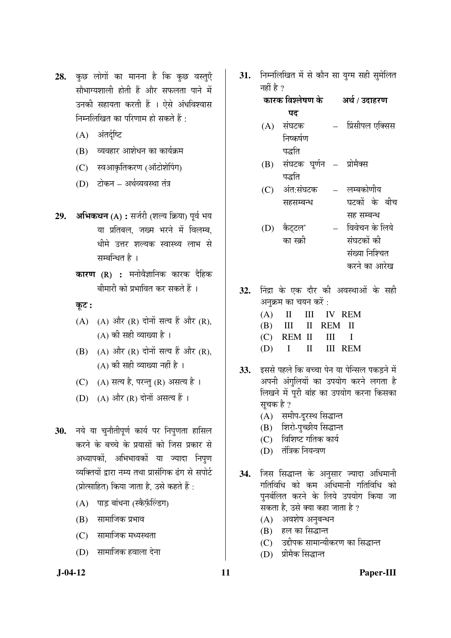- 28. कुछ लोगों का मानना है कि कुछ वस्तुएँ सौभाग्यशाली होती हैं और सफलता पाने में उनकी सहायता करती हैं । ऐसे अंधविश्वास निम्नलिखित का परिणाम हो सकते हैं :
	- $(A)$  अंतर्दृष्टि
	- (B) व्यवहार आशेधन का कार्यक्रम
	- (C) स्वआकृतिकरण (ऑटोशेपिंग)
	- (D) टोकन अर्थव्यवस्था तंत्र
- 29. **अभिकथन** (A) : सर्जरी (शल्य क्रिया) पूर्व भय या प्रतिबल, जख्म भरने में विलम्ब, धीमे उत्तर शल्यक स्वास्थ्य लाभ से सम्बन्धित है ।
	- **कारण (R) :** मनोवैज्ञानिक कारक दैहिक ंबीमारी को प्रभावित कर सकते हैं ।
	- कूट :
	- $(A)$   $(A)$  और  $(R)$  दोनों सत्य हैं और  $(R)$ , (A) की सही व्याख्या है ।
	- $(B)$   $(A)$  और  $(R)$  दोनों सत्य हैं और  $(R)$ .  $(A)$  की सही व्याख्या नहीं है ।
	- (C) (A) सत्य है, परन्तु (R) असत्य है।
	- (D)  $(A)$  और  $(R)$  दोनों असत्य हैं।
- 30. नये या चुनौतीपूर्ण कार्य पर निपुणता हासिल करने के बच्चे के प्रयासों को जिस प्रकार से अध्यापकों, अभिभावकों या ज्यादा निपुण व्यक्तियों द्वारा नम्य तथा प्रासंगिक ढंग से सपोर्ट  $\overline{y}$ (प्रोत्साहित) किया जाता है. उसे कहते हैं:
	- (A) पाड़ बांधना (स्कैफ़ॅल्डिंग)
	- $(B)$  सामाजिक प्रभाव
	- $(C)$  सामाजिक मध्यस्थता
	- $(D)$  सामाजिक हवाला देना

31. निम्नलिखित में से कौन सा युग्म सही सुमेलित नहीं है ?

> कारक विश्लेषण के  $\overline{\mathbf{u}}$ अर्थ / उदाहरण

- $(A)$  संघटक निष्कर्षण पद्धति प्रिंसीपल एक्सिस
- $(B)$  संघटक घर्णन  $-$ पद्धति प्रोमैक्स
- (C) अंत:संघटक सहसम्बन्ध लम्बकोणीय घटकों के बीच सह सम्बन्ध
- (D) कैटटल' का स्क्री विवेचन के लिये संघटकों की संख्या निश्चित करने का आरेख
- 32. निंद्रा के एक दौर की अवस्थाओं के सही अनुक्रम का चयन करें :
	- (A) II III IV REM (B) III II REM II (C) REM II III I (D) I II III REM
- 33. EKR TEE THE BEET THE THE STABLE OF THE STADE OF THE STADE OF THE STADE OF THE STADE OF THE STADE OF THE STA अपनी अंगलियों का उपयोग करने लगता है लिखने में पूरी बांह का उपयोग करना किसका सचक है ?
	- (A) समीप-दूरस्थ सिद्धान्त
	- (B) शिरो-पुच्छीय सिद्धान्त
	- $(C)$  विशिष्ट गतिक कार्य
	- (D) तंत्रिक नियन्त्रण
- 34. जिस सिद्धान्त के अनुसार ज्यादा अधिमानी गतिविधि को कम अधिमानी गतिविधि को पुनर्बलित करने के लिये उपयोग किया जा सकता है, उसे क्या कहा जाता है ?
	- $(A)$  अवशेष अनुबन्धन
	- (B) हल का सिद्धान्त
	- (C) उद्दीपक सामान्यीकरण का सिद्धान्त
	- (D) प्रीमैक सिद्धान्त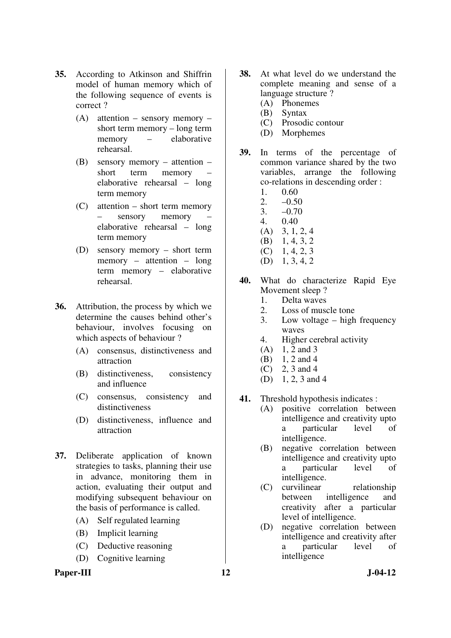- **35.** According to Atkinson and Shiffrin model of human memory which of the following sequence of events is correct ?
	- (A) attention sensory memory short term memory – long term memory – elaborative rehearsal.
	- (B) sensory memory attention short term memory – elaborative rehearsal – long term memory
	- (C) attention short term memory sensory memory elaborative rehearsal – long term memory
	- (D) sensory memory short term memory – attention – long term memory – elaborative rehearsal.
- **36.** Attribution, the process by which we determine the causes behind other's behaviour, involves focusing on which aspects of behaviour ?
	- (A) consensus, distinctiveness and attraction
	- (B) distinctiveness, consistency and influence
	- (C) consensus, consistency and distinctiveness
	- (D) distinctiveness, influence and attraction
- **37.** Deliberate application of known strategies to tasks, planning their use in advance, monitoring them in action, evaluating their output and modifying subsequent behaviour on the basis of performance is called.
	- (A) Self regulated learning
	- (B) Implicit learning
	- (C) Deductive reasoning
	- (D) Cognitive learning
- **38.** At what level do we understand the complete meaning and sense of a language structure ?
	- (A) Phonemes
	- (B) Syntax
	- Prosodic contour
	- (D) Morphemes
- **39.** In terms of the percentage of common variance shared by the two variables, arrange the following co-relations in descending order :
	- 1. 0.60
	- 2.  $-0.50$ <br>3.  $-0.70$
	- $-0.70$
	- 4. 0.40
	- (A) 3, 1, 2, 4
	- (B) 1, 4, 3, 2
	- $(C)$  1, 4, 2, 3
	- (D) 1, 3, 4, 2
- **40.** What do characterize Rapid Eye Movement sleep?
	- 1. Delta waves
	- 2. Loss of muscle tone
	- 3. Low voltage high frequency waves
	- 4. Higher cerebral activity
	- (A) 1, 2 and 3
	- (B)  $1, 2$  and 4<br>(C)  $2, 3$  and 4
	- 2, 3 and 4
	- (D) 1, 2, 3 and 4
- **41.** Threshold hypothesis indicates :
	- (A) positive correlation between intelligence and creativity upto a particular level of intelligence.
	- (B) negative correlation between intelligence and creativity upto a particular level of intelligence.
	- (C) curvilinear relationship between intelligence and creativity after a particular level of intelligence.
	- (D) negative correlation between intelligence and creativity after a particular level of intelligence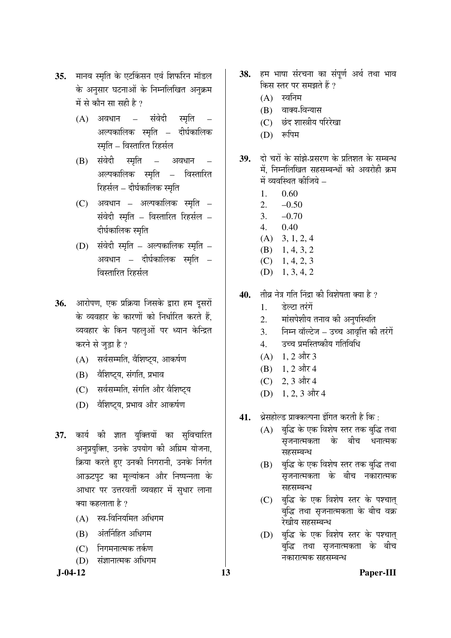- 35. मानव स्मृति के एटकिंसन एवं शिफरिन मॉडल के अनुसार घटनाओं के निम्नलिखित अनुक्रम में से कौन सा सही है ?
	- $(A)$  अवधान संवेदी स्मृति अल्पकालिक स्मृति – दीर्घकालिक स्मृति – विस्तारित रिहर्सल
	- (B) संवेदी स्मृति अवधान अल्पकालिक स्मृति – विस्तारित रिहर्सल – दीर्घकालिक स्मृति
	- $(C)$  अवधान अल्पकालिक स्मृति संवेदी स्मृति – विस्तारित रिहर्सल – दीर्घकालिक स्मृति
	- $(D)$  संवेदी स्मृति अल्पकालिक स्मृति अवधान – दीर्घकालिक स्मृति – विस्तारित रिहर्सल
- 36. आरोपण, एक प्रक्रिया जिसके द्वारा हम दूसरों के व्यवहार के कारणों को निर्धारित करते हैं, व्यवहार के किन पहलुओं पर ध्यान केन्द्रित करने से जुड़ा है ?
	- (A) सर्वसम्मति, वैशिष्ट्य, आकर्षण
	- (B) वैशिष्ट्य, संगति, प्रभाव
	- (C) सर्वसम्मति, संगति और वैशिष्ट्य
	- (D) वैशिष्टय, प्रभाव और आकर्षण
- **37.** कार्य की ज्ञात युक्तियों का सुविचारित अनुप्रयुक्ति, उनके उपयोग की अग्रिम योजना, क्रिया करते हुए उनकी निगरानी, उनके निर्गत आऊटपुट का मूल्यांकन और निष्पन्नता के आधार पर उत्तरवर्ती व्यवहार में सुधार लाना क्या कहलाता है ?
	- $(A)$  स्व-विनियमित अधिगम
	- $(B)$  अंतर्निहित अधिगम
	- (C) निगमनात्मक तर्कण
	- (D) संज्ञानात्मक अधिगम
- 38. हम भाषा संरचना का संपर्ण अर्थ तथा भाव किस स्तर पर समझते हैं ?
	- $(A)$  स्वनिम
	- (B) वाक्य-विन्यास
	- (C) छंद शास्त्रीय परिरेखा
	- $(D)$  रूपिम
- 39. ai चरों के सांझे-प्रसरण के प्रतिशत के सम्बन्ध में, निम्नलिखित सहसम्बन्धों को अवरोही क्रम में व्यवस्थित कीजिये –
	- 1. 0.60
	- $2. -0.50$
	- 3.  $-0.70$
	- 4. 0.40
	- (A) 3, 1, 2, 4
	- (B) 1, 4, 3, 2  $(C)$  1, 4, 2, 3
	- (D) 1, 3, 4, 2
- 40. तीव्र नेत्र गति निंद्रा की विशेषता क्या है ?
	- 1. हेल्टा तरंगें
	- 2. मांसपेशीय तनाव की अनुपस्थिति
	- 3. Flम्न वॉल्टेज उच्च आवृत्ति की तरंगें
	- 4. उच्च प्रमस्तिष्कीय गतिविधि
	- $(A)$  1, 2 और 3
	- $(B)$  1, 2 और 4
	- (C) 2, 3 और 4
	- $(D)$  1, 2, 3 और 4
- **41.** श्रेसहोल्ड प्राक्कल्पना इंगित करती है कि :
	- (A) बुद्धि के एक विशेष स्तर तक बुद्धि तथा सृजनात्मकता के बीच धनात्मक सहसम्बन्ध
	- (B) बद्धि के एक विशेष स्तर तक बुद्धि तथा सृजनात्मकता के बीच नकारात्मक सहसम्बन्ध
	- (C) बुद्धि के एक विशेष स्तर के पश्चात् बुद्धि तथा सृजनात्मकता के बीच वक्र रेखीय सहसम्बन्ध
	- (D) बुद्धि के एक विशेष स्तर के पश्चात बुद्धि तथा सृजनात्मकता के बीच नकारात्मक सहसम्बन्ध

## **J-04-12 13 Paper-III**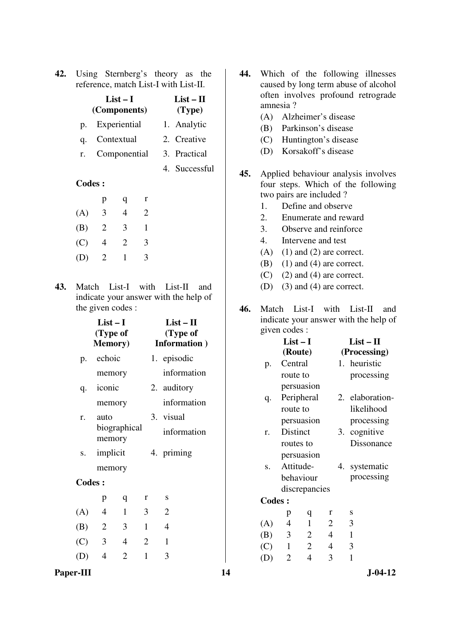|  | <b>42.</b> Using Sternberg's theory as the |  |  |
|--|--------------------------------------------|--|--|
|  | reference, match List-I with List-II.      |  |  |

| $List-I$     | $List-II$         |
|--------------|-------------------|
| (Components) | (Type)            |
| Experiential | 1. Analytic       |
| Contextual   | 2. Creative       |
| Componential | 3. Practical      |
|              | 4. Successful     |
|              | $p_{\cdot}$<br>r. |

|     | р              | q              | r |
|-----|----------------|----------------|---|
| (A) | 3              | 4              | 2 |
| (B) | $\overline{2}$ | 3              | 1 |
| (C) | 4              | $\overline{2}$ | 3 |
| (D) | 2              | 1              | 3 |

**43.** Match List-I with List-II and indicate your answer with the help of the given codes :

|               | $List-I$<br>(Type of<br><b>Memory</b> ) | $List - II$<br>(Type of<br>Information) |              |  |                |  |  |
|---------------|-----------------------------------------|-----------------------------------------|--------------|--|----------------|--|--|
| p.            | echoic                                  |                                         |              |  | 1. episodic    |  |  |
|               | memory                                  |                                         |              |  | information    |  |  |
| q.            | iconic                                  |                                         |              |  | 2. auditory    |  |  |
|               | memory                                  |                                         |              |  | information    |  |  |
| r.            | auto                                    |                                         |              |  | 3. visual      |  |  |
|               | memory                                  | biographical                            |              |  | information    |  |  |
| S.            | implicit                                |                                         |              |  | 4. priming     |  |  |
|               | memory                                  |                                         |              |  |                |  |  |
| <b>Codes:</b> |                                         |                                         |              |  |                |  |  |
|               | p                                       | $\mathbf q$                             | r            |  | S              |  |  |
| (A)           | 4                                       | $\mathbf{1}$                            | 3            |  | $\overline{2}$ |  |  |
| (B)           | 2                                       | 3                                       | $\mathbf{1}$ |  | $\overline{4}$ |  |  |
| (C)           | $\overline{3}$                          | 4                                       | 2            |  | $\mathbf{1}$   |  |  |
| (D)           | $\overline{4}$                          | $\overline{2}$                          | 1            |  | 3              |  |  |

- **44.** Which of the following illnesses caused by long term abuse of alcohol often involves profound retrograde amnesia ?
	- (A) Alzheimer's disease
	- (B) Parkinson's disease
	- (C) Huntington's disease
	- (D) Korsakoff's disease
- **45.** Applied behaviour analysis involves four steps. Which of the following two pairs are included ?
	- 1. Define and observe
	- 2. Enumerate and reward
	- 3. Observe and reinforce
	- 4. Intervene and test
	- $(A)$  (1) and (2) are correct.
	- $(B)$  (1) and (4) are correct.
	- $(C)$  (2) and (4) are correct.
	- (D) (3) and (4) are correct.
- **46.** Match List-I with List-II and indicate your answer with the help of given codes :

| $List-I$      |                |                |                |              | $List - II$     |  |  |  |
|---------------|----------------|----------------|----------------|--------------|-----------------|--|--|--|
|               | (Route)        |                |                | (Processing) |                 |  |  |  |
| p.            | Central        |                |                |              | 1. heuristic    |  |  |  |
|               | route to       |                |                |              | processing      |  |  |  |
|               |                | persuasion     |                |              |                 |  |  |  |
| q.            |                | Peripheral     |                |              | 2. elaboration- |  |  |  |
|               | route to       |                |                |              | likelihood      |  |  |  |
|               |                | persuasion     |                |              | processing      |  |  |  |
| r.            | Distinct       |                |                | 3.           | cognitive       |  |  |  |
|               | routes to      |                |                |              | Dissonance      |  |  |  |
|               |                | persuasion     |                |              |                 |  |  |  |
| S.            | Attitude-      |                |                | 4.           | systematic      |  |  |  |
|               |                | behaviour      |                |              | processing      |  |  |  |
|               |                | discrepancies  |                |              |                 |  |  |  |
| <b>Codes:</b> |                |                |                |              |                 |  |  |  |
|               | p              | q              | r              |              | S               |  |  |  |
| (A)           | $\overline{4}$ | $\mathbf{1}$   | $\overline{2}$ |              | 3               |  |  |  |
| (B)           | $\overline{3}$ | $\overline{2}$ | 4              |              | $\mathbf{1}$    |  |  |  |
| (C)           | $\mathbf{1}$   | $\overline{2}$ | 4              |              | 3               |  |  |  |
| (D)           | $\overline{2}$ | $\overline{4}$ | 3              |              | 1               |  |  |  |

## Paper-III 14 J-04-12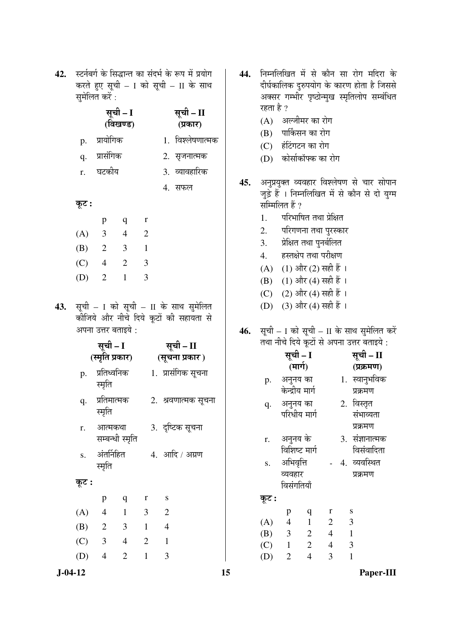42. स्टर्नबर्ग के सिद्धान्त का संदर्भ के रूप में प्रयोग करते हुए सूची – I को सूची – II के साथ समेलित करें $\cdot$ 

|     |                             | $\cdots \cdots \cdots$        |                      |                |                                                                                |
|-----|-----------------------------|-------------------------------|----------------------|----------------|--------------------------------------------------------------------------------|
|     |                             |                               | सूची – I<br>(विखण्ड) |                | सूची – II<br>(प्रकार)                                                          |
|     |                             | p. प्रायोगिक                  |                      |                | 1. विश्लेषणात्मक                                                               |
|     |                             | q. प्रासंगिक                  |                      |                | 2. सृजनात्मक                                                                   |
|     |                             | r. घटकीय                      |                      |                | 3. व्यावहारिक                                                                  |
|     |                             |                               |                      |                | 4. सफल                                                                         |
|     | कूट :                       |                               |                      |                |                                                                                |
|     |                             | p                             | q                    | $\mathbf{r}$   |                                                                                |
|     |                             | (A) 3 4 2                     |                      |                |                                                                                |
|     |                             | $(B)$ 2 3                     |                      | $\overline{1}$ |                                                                                |
|     |                             | $(C)$ 4 2 3                   |                      |                |                                                                                |
|     | (D)                         | $\overline{2}$                | $\mathbf{1}$         | 3              |                                                                                |
| 43. |                             | अपना उत्तर बताइये :           |                      |                | सूची - I को सूची - II के साथ सुमेलित<br>कोजिये और नीचे दिये कूटों की सहायता से |
|     | सूची – I<br>(स्मृति प्रकार) |                               |                      |                | सूची - II<br>(सूचना प्रकार)                                                    |
|     | p.                          | प्रतिध्वनिक<br>स्मृति         |                      |                | 1.  प्रासंगिक सूचना                                                            |
|     |                             | q. प्रतिमात्मक<br>स्मृति      |                      |                | 2. श्रवणात्मक सूचना                                                            |
|     |                             | r. आत्मकथा<br>सम्बन्धी स्मृति |                      |                | 3. दृष्टिक सूचना                                                               |
|     | S.                          | अंतर्निहित<br>स्मृति          |                      |                | 4. आदि / अग्रण                                                                 |

## Ûæú™ü **:**

|     | р              | q            | r | S |
|-----|----------------|--------------|---|---|
| (A) | 4              | 1            | 3 | 2 |
| (B) | $\overline{2}$ | 3            |   | 4 |
| (C) | 3              | 4            | 2 |   |
| (D) |                | $\mathbf{Z}$ |   | 3 |

- 44. निम्नलिखित में से कौन सा रोग मदिरा के दीर्घकालिक दुरुपयोग के कारण होता है जिससे अक्सर गम्भीर पृष्ठोन्मुख स्मृतिलोप सम्बंधित रहता है ?
	- (A) अल्जीमर का रोग
	- (B) पार्किसन का रोग
	- (C) हंटिंगटन का रोग
	- (D) कोर्साकॉफ्क का रोग
- 45. अनुप्रयुक्त व्यवहार विश्लेषण से चार सोपान जुड़े हैं । निम्नलिखित में से कौन से दो युग्म सम्मिलित हैं ?
	- 1. परिभाषित तथा प्रेक्षित
	- 2. परिगणना तथा पुरस्कार
	- 3. प्रेक्षित तथा पुनर्बलित
	- 4. हस्तक्षेप तथा परीक्षण
	- $(A)$  (1) और (2) सही हैं।
	- (B) (1) और (4) सही हैं ।
	- (C) (2) और (4) सही हैं ।
	- (D) (3) और (4) सही हैं ।
- 46. सूची I को सूची II के साथ सुमेलित करें तथा नीचे दिये कुटों से अपना उत्तर बताइये :

|       |                         | सूची – I       |                | सूची – II       |
|-------|-------------------------|----------------|----------------|-----------------|
|       | (मार्ग)                 |                |                | (प्रक्रमण)      |
| p.    | अनुनय का                |                |                | 1. स्वानुभविक   |
|       | केन्द्रीय मार्ग         |                |                | प्रक्रमण        |
| q.    | अनुनय का                |                |                | 2. विस्तृत      |
|       |                         | परिधीय मार्ग   |                | संभाव्यता       |
|       |                         |                |                | प्रक्रमण        |
| r.    | अनुनय के                |                |                | 3. संज्ञानात्मक |
|       |                         | विशिष्ट मार्ग  |                | विसंवादिता      |
| S.    | अभिवृत्ति               |                |                | 4. व्यवस्थित    |
|       | व्यवहार                 |                |                | प्रक्रमण        |
|       | विसंगतियाँ              |                |                |                 |
| कूट : |                         |                |                |                 |
|       | p                       | q              | $\bf r$        | S               |
| (A)   | $\overline{4}$          | $\mathbf{1}$   | 2              | 3               |
| (B)   | $\overline{\mathbf{3}}$ | $\overline{2}$ | $\overline{4}$ | $\overline{1}$  |
| (C)   | $\mathbf{1}$            | $\overline{2}$ | $\overline{4}$ | 3               |

(D) 2 4 3 1

 **J-04-12 15 Paper-III**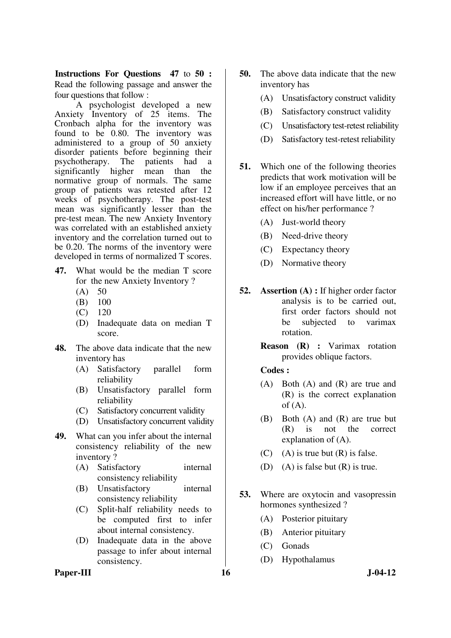**Instructions For Questions 47** to **50 :** Read the following passage and answer the four questions that follow :

 A psychologist developed a new Anxiety Inventory of 25 items. The Cronbach alpha for the inventory was found to be 0.80. The inventory was administered to a group of 50 anxiety disorder patients before beginning their psychotherapy. The patients had a significantly higher mean than the normative group of normals. The same group of patients was retested after 12 weeks of psychotherapy. The post-test mean was significantly lesser than the pre-test mean. The new Anxiety Inventory was correlated with an established anxiety inventory and the correlation turned out to be 0.20. The norms of the inventory were developed in terms of normalized T scores.

- **47.** What would be the median T score for the new Anxiety Inventory ?
	- $(A) 50$
	- (B) 100
	- (C) 120
	- (D) Inadequate data on median T score.
- **48.** The above data indicate that the new inventory has
	- (A) Satisfactory parallel form reliability
	- (B) Unsatisfactory parallel form reliability
	- (C) Satisfactory concurrent validity
	- (D) Unsatisfactory concurrent validity
- **49.** What can you infer about the internal consistency reliability of the new inventory ?
	- (A) Satisfactory internal consistency reliability
	- (B) Unsatisfactory internal consistency reliability
	- (C) Split-half reliability needs to be computed first to infer about internal consistency.
	- (D) Inadequate data in the above passage to infer about internal consistency.
- **50.** The above data indicate that the new inventory has
	- (A) Unsatisfactory construct validity
	- (B) Satisfactory construct validity
	- (C) Unsatisfactory test-retest reliability
	- (D) Satisfactory test-retest reliability
- **51.** Which one of the following theories predicts that work motivation will be low if an employee perceives that an increased effort will have little, or no effect on his/her performance ?
	- (A) Just-world theory
	- (B) Need-drive theory
	- (C) Expectancy theory
	- (D) Normative theory
- **52. Assertion (A) :** If higher order factor analysis is to be carried out, first order factors should not be subjected to varimax rotation.
	- **Reason (R) :** Varimax rotation provides oblique factors.

#### **Codes :**

- (A) Both (A) and (R) are true and (R) is the correct explanation of  $(A)$ .
- (B) Both (A) and (R) are true but (R) is not the correct explanation of (A).
- (C) (A) is true but  $(R)$  is false.
- (D) (A) is false but  $(R)$  is true.
- **53.** Where are oxytocin and vasopressin hormones synthesized ?
	- (A) Posterior pituitary
	- (B) Anterior pituitary
	- (C) Gonads
	- (D) Hypothalamus

Paper-III 16 J-04-12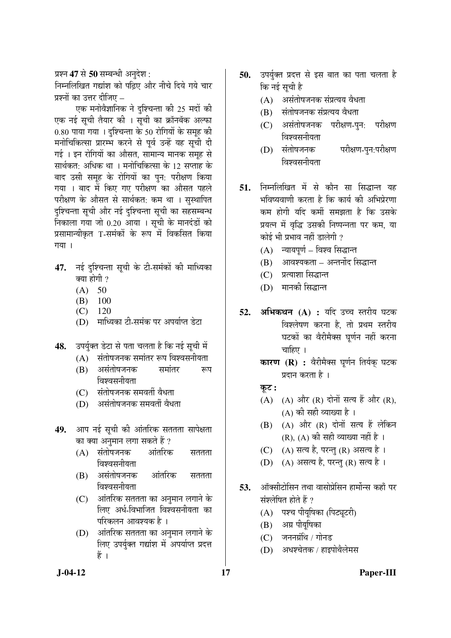## प्रश्न **47** से **50** सम्बन्धी अनुदेश :

निम्नलिखित गद्यांश को पढ़िए और नीचे दिये गये चार प्रश्नों का उत्तर दीजिए <sub>–</sub>

एक मनोवैज्ञानिक ने दृश्चिन्ता की 25 मदों की एक नई सूची तैयार की । सूची का क्रॉनबॅक अल्फा 0.80 पाया गया । दुश्चिन्ता के 50 रोगियों के समूह की मनोचिकित्सा प्रारम्भ करने से पूर्व उन्हें यह सूची दी गई । इन रोगियों का औसत, सामान्य मानक समूह से सार्थकत: अधिक था । मनोचिकित्सा के 12 सप्ताह के बाद उसी समूह के रोगियों का पुन: परीक्षण किया गया । बाद में किए गए परीक्षण का औसत पहले परीक्षण के औसत से सार्थकत: कम था । सुस्थापित दुश्चिन्ता सूची और नई दुश्चिन्ता सूची का सहसम्बन्ध निकाला गया जो 0.20 आया । सूची के मानदंडों को प्रसामान्यीकृत T-समंकों के रूप में विकसित किया गया।

- 47. नई दुश्चिन्ता सूची के टी-समंकों की माध्यिका क्या होगी  $\overline{?}$ 
	- $(A) 50$
	- (B) 100
	- (C) 120
	- (D) गाध्यिका टी-समंक पर अपर्याप्त डेटा
- 48. Þउपर्युक्त डेटा से पता चलता है कि नई सूची में
	- $(A)$  संतोषजनक समांतर रूप विश्वसनीयता
	- (B) असंतोषजनक समांतर रूप िञ्चसनीयता
	- (C) संतोषजनक समवर्ती वैधता
	- (D) असंतोषजनक समवर्ती वैधता
- **49.** आप नई सूची की आंतरिक सततता सापेक्षता का क्या अनुमान लगा सकते हैं ?
	- $(A)$  संतोषजनक आंतरिक सततता विश्वसनीयता
	- (B) असंतोषजनक आंतरिक सततता िवश्वसनीयता
	- (C) ओंतरिक सततता का अनुमान लगाने के लिए अर्ध-विभाजित विश्वसनीयता का परिकलन आवश्यक है ।
	- (D) आंतरिक सततता का अनुमान लगाने के लिए उपर्युक्त गद्यांश में अपर्याप्त प्रदत्त हें ।
- **50.** उपर्युक्त प्रदत्त से इस बात का पता चलता है कि नई सची है
	- $(A)$  असंतोषजनक संप्रत्यय वैधता
	- (B) संतोषजनक संप्रत्यय वैधता
	- (C) असंतोषजनक परीक्षण-पुन: परीक्षण विश्वसनीयता
	- (D) संतोषजनक परीक्षण-पन:परीक्षण <u>विश्वसनीयता</u>
- 51. निम्नलिखित में से कौन सा सिद्धान्त यह भविष्यवाणी करता है कि कार्य की अभिप्रेरणा कम होगी यदि कर्मी समझता है कि उसके प्रयत्न में वृद्धि उसकी निष्पन्नता पर कम, या कोई भी प्रभाव नहीं डालेगी ?
	- (A) न्यायपूर्ण विश्व सिद्धान्त
	- (B) आवश्यकता अन्तर्नोद सिद्धान्त
	- (C) प्रत्याशा सिद्धान्त
	- (D) मानकी सिद्धान्त
- 52. अभिकथन (A) : यदि उच्च स्तरीय घटक विश्लेषण करना है, तो प्रथम स्तरीय घटकों का वैरीमैक्स घूर्णन नहीं करना चाहिए ।
	- **कारण (R) :** वैरीमैक्स घूर्णन तिर्यक् घटक प्रदान करता है ।
	- कट:
	- $(A)$   $(A)$  और  $(R)$  दोनों सत्य हैं और  $(R)$ , (A) की सही व्याख्या है ।
	- $(B)$   $(A)$  और  $(R)$  दोनों सत्य हैं लेकिन (R), (A) की सही व्याख्या नहीं है ।
	- $(C)$   $(A)$  सत्य है, परन्तु (R) असत्य है ।
	- (D)  $(A)$  असत्य है, परन्तु (R) सत्य है।
- 53. ऑक्सीटोसिन तथा वासोप्रेसिन हार्मोन्स कहाँ पर संश्लेषित होते हैं ?
	- (A) पश्च पीयूषिका (पिट्यूटरी)
	- (B) अग्र पीयूषिका
	- $(C)$  जननग्रंथि / गोनड
	- (D) अधश्चेतक / हाइपोथैलेमस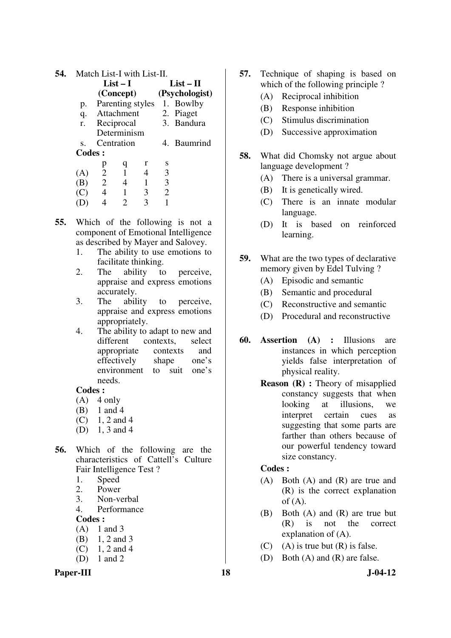| 54. | Match List-I with List-II. |                |               |   |                |                            |  |
|-----|----------------------------|----------------|---------------|---|----------------|----------------------------|--|
|     |                            |                | $List-I$      |   |                | $List-II$                  |  |
|     |                            |                | (Concept)     |   |                | (Psychologist)             |  |
|     | p.                         |                |               |   |                | Parenting styles 1. Bowlby |  |
|     |                            |                | q. Attachment |   |                | 2. Piaget                  |  |
|     |                            |                | r. Reciprocal |   |                | 3. Bandura                 |  |
|     |                            |                | Determinism   |   |                |                            |  |
|     | S.                         |                | Centration    |   |                | 4. Baumrind                |  |
|     | Codes:                     |                |               |   |                |                            |  |
|     |                            | p              |               | r | S              |                            |  |
|     | (A)                        | $\overline{2}$ | $\mathbf{1}$  | 4 | 3              |                            |  |
|     | (B)                        | 2<br>4         |               |   | 3              |                            |  |
|     | (C)                        | 4              | 1             | 3 | $\overline{2}$ |                            |  |
|     |                            |                |               |   |                |                            |  |

- **55.** Which of the following is not a component of Emotional Intelligence as described by Mayer and Salovey.
	- 1. The ability to use emotions to facilitate thinking.
	- 2. The ability to perceive, appraise and express emotions accurately.
	- 3. The ability to perceive, appraise and express emotions appropriately.
	- 4. The ability to adapt to new and different contexts, select appropriate contexts and effectively shape one's environment to suit one's needs.

- $(A)$  4 only
- (B) 1 and 4
- $(C)$  1, 2 and 4
- (D) 1, 3 and 4
- **56.** Which of the following are the characteristics of Cattell's Culture Fair Intelligence Test ?
	- 1. Speed
	- 2. Power
	- 3. Non-verbal
	- 4. Performance

**Codes :** 

- $(A)$  1 and 3
- (B) 1, 2 and 3
- $(C)$  1, 2 and 4
- (D) 1 and 2

#### Paper-III **18** J-04-12

- **57.** Technique of shaping is based on which of the following principle ?
	- (A) Reciprocal inhibition
	- (B) Response inhibition
	- (C) Stimulus discrimination
	- (D) Successive approximation
- **58.** What did Chomsky not argue about language development ?
	- (A) There is a universal grammar.
	- (B) It is genetically wired.
	- (C) There is an innate modular language.
	- (D) It is based on reinforced learning.
- **59.** What are the two types of declarative memory given by Edel Tulving ?
	- (A) Episodic and semantic
	- (B) Semantic and procedural
	- (C) Reconstructive and semantic
	- (D) Procedural and reconstructive
- **60. Assertion (A) :** Illusions are instances in which perception yields false interpretation of physical reality.
	- **Reason (R) :** Theory of misapplied constancy suggests that when looking at illusions, we interpret certain cues as suggesting that some parts are farther than others because of our powerful tendency toward size constancy.

- (A) Both (A) and (R) are true and (R) is the correct explanation of  $(A)$ .
- (B) Both (A) and (R) are true but (R) is not the correct explanation of (A).
- (C) (A) is true but  $(R)$  is false.
- (D) Both (A) and (R) are false.
	-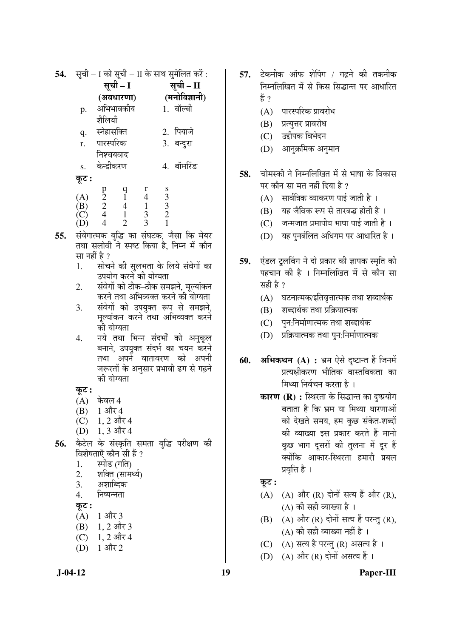| 54. | सूची – I को सूची – II के साथ सुमेलित करें : |                                                                        |                                            |                                                 |                                                      |              |  |
|-----|---------------------------------------------|------------------------------------------------------------------------|--------------------------------------------|-------------------------------------------------|------------------------------------------------------|--------------|--|
|     |                                             | सूची - I                                                               |                                            |                                                 | सूची – II                                            |              |  |
|     |                                             | (अवधारणा)                                                              |                                            |                                                 | (मनोविज्ञानी)                                        |              |  |
|     | p.                                          | अभिभावकीय                                                              |                                            |                                                 | 1. बॉल्बी                                            |              |  |
|     |                                             | शैलियाँ                                                                |                                            |                                                 |                                                      |              |  |
|     | q.                                          | स्नेहासक्ति                                                            |                                            |                                                 | 2. पियाजे                                            |              |  |
|     | r.                                          | पारस्परिक                                                              |                                            |                                                 | 3. बन्दुरा                                           |              |  |
|     |                                             | निश्चयवाद                                                              |                                            |                                                 |                                                      |              |  |
|     | S.                                          | केन्द्रीकरण                                                            |                                            |                                                 |                                                      | 4. बॉर्मारंड |  |
|     | कूट :                                       |                                                                        |                                            |                                                 |                                                      |              |  |
|     |                                             |                                                                        |                                            | r                                               |                                                      |              |  |
|     | (A)<br>(B)<br>(C)<br>(D)                    | $\begin{array}{c} \n 0 \\ \n 2 \\ \n 2 \\ \n 4 \\ \n 4 \n \end{array}$ | $\begin{array}{c} q \\ 1 \\ 4 \end{array}$ | $\begin{array}{c} 4 \\ 1 \\ 3 \\ 3 \end{array}$ | $\begin{array}{c} 8 \\ 3 \\ 3 \\ 2 \\ 1 \end{array}$ |              |  |
|     |                                             |                                                                        | $\mathbf{1}$                               |                                                 |                                                      |              |  |
|     |                                             |                                                                        | $\overline{2}$                             |                                                 |                                                      |              |  |
|     |                                             |                                                                        |                                            |                                                 |                                                      |              |  |

- **55.** संवेगात्मक बुद्धि का संघटक, जैसा कि मेयर तथा सलोवी ने स्पष्ट किया है. निम्न में कौन सा नहीं है ?
	- 1. सोचने की सुलभता के लिये संवेगों का उपयोग करने की योग्यता
	- 2. संवेगों को ठीक–ठीक समझने, मुल्यांकन करने तथा अभिव्यक्त करने की योग्यता
	- <u>3. संवेगो को उपयुक्त रूप से समझने,</u> मुल्यांकन करने तथा अभिव्यक्त करने की योग्यता
	- 4. नये तथा भिन्न संदर्भों को अनुकूल बनाने, उपयुक्त संदर्भ का चयन करने तथा अपने वातावरण को अपनी जरूरतों के अनुसार प्रभावी ढग से गढ़ने की योग्यता

Ûæú™ü **:** 

- $(A)$  केवल 4
- $(B)$  1 और 4
- (C) 1, 2 और 4
- (D) 1, 3 और 4
- 56. केटेल के संस्कृति समता बुद्धि परीक्षण की विशेषताएँ कौन सी हैं ?
	- 1. स्पीड (गति)
	- 2. शक्ति (सामर्थ्य)
	- 3. अशाब्दिक
	- 4. निष्पन्नता

Ûæú™ü **:** 

- $(A)$  1 और 3
- $(B)$  1, 2 और 3
- $(C)$  1, 2 और 4
- $(D)$  1 और 2
- 57. टेकनीक ऑफ शेपिंग / गढ़ने की तकनीक निम्नलिखित में से किस सिद्धान्त पर आधारित  $\frac{3}{5}$  ?
	- $(A)$  पारस्परिक प्रावरोध
	- (B) प्रत्युत्तर प्रावरोध
	- (C) उद्दीपक विभेदन
	- (D) आनुक्रमिक अनुमान
- 58. चोमस्की ने निम्नलिखित में से भाषा के विकास पर कौन सा मत नहीं दिया है ?
	- $(A)$  सार्वत्रिक व्याकरण पाई जाती है)।
	- (B) यह जैविक रूप से तारबद्ध होती है ।
	- $(C)$  जन्मजात प्रमापीय भाषा पाई जाती है ।
	- (D) यह पुनर्बलित अधिगम पर आधारित है)।
- **59.** ऍडल टुलविंग ने दो प्रकार की ज्ञापक स्मृति की पहचान की है । निम्नलिखित में से कौन सा सही है ?
	- $(A)$  घटनात्मक⁄इतिवृत्तात्मक तथा शब्दार्थक
	- (B) शब्दार्थक तथा प्रक्रियात्मक
	- (C) पन:निर्माणात्मक तथा शब्दार्थक
	- $(D)$  प्रक्रियात्मक तथा पुन:निर्माणात्मक
- **60. अभिकथन (A) : भ्रम ऐसे दृष्टान्त हैं जिनमें** प्रत्यक्षीकरण भौतिक वास्तविकता का मिथ्या निर्वचन करता है ।
	- **कारण (R) :** स्थिरता के सिद्धान्त का दुष्प्रयोग बताता है कि भ्रम या मिथ्या धारणाओं को देखते समय, हम कुछ संकेत-शब्दों की व्याख्या इस प्रकार करते हैं मानो कुछ भाग दुसरों की तुलना में दुर हैं क्योंकि आकार-स्थिरता हमारी प्रबल प्रवृत्ति है ।

## Ûæú™ü **:**

- $(A)$   $(A)$  और  $(R)$  दोनों सत्य हैं और  $(R)$ ,  $(A)$  की सही व्याख्या है ।
- $(B)$   $(A)$  और  $(R)$  दोनों सत्य हैं परन्तु  $(R)$ ,  $(A)$  की सही व्याख्या नहीं है ।
- $(C)$   $(A)$  सत्य है परन्तु  $(R)$  असत्य है ।
- (D)  $(A)$  और  $(R)$  दोनों असत्य हैं।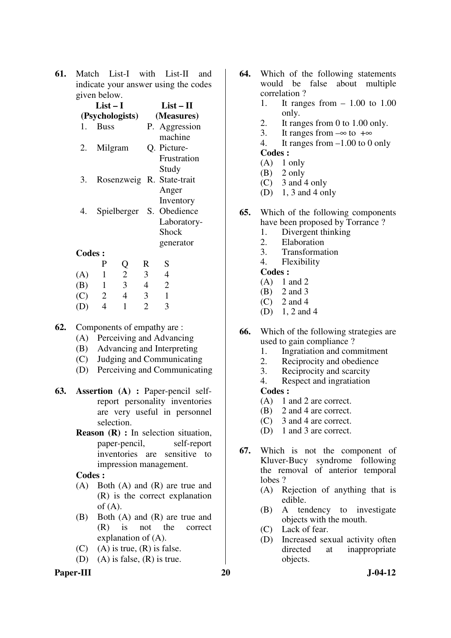**61.** Match List-I with List-II and indicate your answer using the codes given below.

|               | $List-I$                  |   | $List-II$     |
|---------------|---------------------------|---|---------------|
|               | (Psychologists)           |   | (Measures)    |
| 1.            | <b>Buss</b>               |   | P. Aggression |
|               |                           |   | machine       |
| 2.            | Milgram                   |   | Q. Picture-   |
|               |                           |   | Frustration   |
|               |                           |   | Study         |
| 3.            | Rosenzweig R. State-trait |   |               |
|               |                           |   | Anger         |
|               |                           |   | Inventory     |
| 4.            | Spielberger S.            |   | Obedience     |
|               |                           |   | Laboratory-   |
|               |                           |   | <b>Shock</b>  |
|               |                           |   |               |
|               |                           |   | generator     |
| <b>Codes:</b> |                           |   |               |
|               |                           | ĸ |               |

|     | P | U | R | S |
|-----|---|---|---|---|
| (A) |   | 2 | 3 | 4 |
| (B) |   | 3 |   | 2 |
| (C) | 2 | 4 | 3 |   |
| (D) |   |   | 7 |   |

- **62.** Components of empathy are :
	- (A) Perceiving and Advancing
	- (B) Advancing and Interpreting
	- (C) Judging and Communicating
	- (D) Perceiving and Communicating
- **63. Assertion (A) :** Paper-pencil selfreport personality inventories are very useful in personnel selection.
	- **Reason (R) :** In selection situation, paper-pencil, self-report inventories are sensitive to impression management.

#### **Codes :**

- (A) Both (A) and (R) are true and (R) is the correct explanation of  $(A)$ .
- (B) Both (A) and (R) are true and (R) is not the correct explanation of (A).
- (C) (A) is true,  $(R)$  is false.
- (D) (A) is false,  $(R)$  is true.

## Paper-III 20 J-04-12

- **64.** Which of the following statements would be false about multiple correlation ?
	- 1. It ranges from  $-1.00$  to 1.00 only.
	- 2. It ranges from 0 to 1.00 only.
	- 3. It ranges from  $-\infty$  to  $+\infty$
	- 4. It ranges from –1.00 to 0 only **Codes :**
	- $(A)$  1 only
	- $(B)$  2 only
	- (C) 3 and 4 only
	- (D) 1, 3 and 4 only
- **65.** Which of the following components have been proposed by Torrance ?
	- 1. Divergent thinking<br>2. Elaboration
	- **Elaboration**
	- 3. Transformation
	- 4. Flexibility

#### **Codes :**

- (A) 1 and 2
- (B) 2 and 3
- $(C)$  2 and 4
- (D) 1, 2 and 4
- **66.** Which of the following strategies are used to gain compliance ?
	- 1. Ingratiation and commitment<br>2. Reciprocity and obedience
	- 2. Reciprocity and obedience<br>3. Reciprocity and scarcity
	- Reciprocity and scarcity
	- 4. Respect and ingratiation

- (A) 1 and 2 are correct.
- (B) 2 and 4 are correct.
- (C) 3 and 4 are correct.
- (D) 1 and 3 are correct.
- **67.** Which is not the component of Kluver-Bucy syndrome following the removal of anterior temporal lobes ?
	- (A) Rejection of anything that is edible.
	- (B) A tendency to investigate objects with the mouth.
	- (C) Lack of fear.
	- (D) Increased sexual activity often directed at inappropriate objects.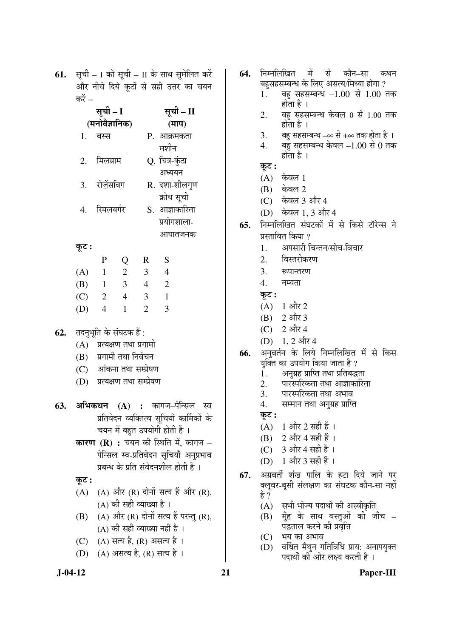**61.** सूची – I को सूची – II के साथ सुमेलित करें और नीचे दिये कुटों से सही उत्तर का चयन करें –

|     | सूची – I       |                         |                | सूची – II      |                |  |
|-----|----------------|-------------------------|----------------|----------------|----------------|--|
|     | (मनोवैज्ञानिक) |                         |                |                | (माप)          |  |
|     | 1.             | बस्स                    |                |                | P. आक्रमकता    |  |
|     |                |                         |                |                | मशीन           |  |
|     | 2.             | मिलग्राम                |                |                | Q. चित्र-कुंठा |  |
|     |                |                         |                |                | अध्ययन         |  |
|     | 3.             | रोज़ेंसविग              |                |                | R. दशा-शीलगुण  |  |
|     |                |                         |                |                | क्रोध सूची     |  |
|     | 4.             | स्पिलबर्गर              |                |                | S. आज्ञाकारिता |  |
|     |                |                         |                | प्रयोगशाला-    |                |  |
|     |                |                         |                | आघातजनक        |                |  |
|     | कूट :          |                         |                |                |                |  |
|     |                | P                       | Q              | $\mathbf R$    | S              |  |
|     | (A)            | $\overline{1}$          | 2              | 3              | $\overline{4}$ |  |
|     | (B)            | $\overline{1}$          | $\overline{3}$ | $\overline{4}$ | $\overline{2}$ |  |
|     | (C)            | $\overline{2}$          | $\overline{4}$ | 3              | $\overline{1}$ |  |
|     | (D)            | $\overline{4}$          | $\mathbf{1}$   | $\overline{2}$ | 3              |  |
|     |                |                         |                |                |                |  |
| 62. |                | तदनुभूति के संघटक हैं : |                |                |                |  |

- **62.** तदनुभूति के संघटक हैं :
	- $(A)$  प्रत्यक्षण तथा प्रगामी
	- $(B)$  प्रगामी तथा निर्वचन
	- (C) ओंकना तथा सम्प्रेषण
	- (D) प्रत्यक्षण तथा सम्प्रेषण
- **63. अभिकथन (A) :** कागज–पेन्सिल स्व प्रतिवेदन व्यक्तित्व सुचियाँ कार्मिकों के चयन में बहुत उपयोगी होती हैं ।
	- **कारण (R) :** चयन की स्थिति में, कागज पेन्सिल स्व-प्रतिवेदन सचियाँ अनुप्रभाव प्रबन्ध के प्रति संवेदनशील होती हैं ।
	- $\overline{\phi}$ :
	- $(A)$   $(A)$  और  $(R)$  दोनों सत्य हैं और  $(R)$ ,  $(A)$  की सही व्याख्या है ।
	- $(B)$   $(A)$  और  $(R)$  दोनों सत्य हैं परन्तु  $(R)$ ,  $(A)$  की सही व्याख्या नहीं है ।
	- (C) (A) सत्य है, (R) असत्य है ।
	- (D) (A) असत्य है, (R) सत्य है ।
- **64.** निम्नलिखित में से कौन–सा कथन बहसहसम्बन्ध के लिए असत्य/मिथ्या होगा ?
	- $1.$  बह सहसम्बन्ध  $-1.00$  से  $1.00$  तक होता है $\perp$
	- $2.$  वह सहसम्बन्ध केवल  $0$  से  $1.00$  तक होता है $\perp$
	- 3. वह सहसम्बन्ध –∞ से +∞ तक होता है ।
	- $4.$  बहुँ सहसम्बन्ध केवल  $-1.00$  से  $0$  तक होता है $\perp$
	- Ûæú™ü **:**
	- $(A)$  केवल 1
	- $(B)$  केवल 2
	- (C) केवल 3 और 4
	- (D) केवल 1, 3 और 4
- **65.** निम्नलिखित संघटकों में से किसे टॉरेन्स ने प्रस्तावित किया ?
	- 1. अपसारी चिन्तन/सोच-विचार
	- 2. विस्तरीकरण
	- 3. रूपान्तरण
	- 4. नम्यता
	- Ûæú™ü **:**
	- $(A)$  1 और 2
	- $(B)$  2 और 3
	- $(C)$  2 और 4
	- $(D)$  1, 2 और 4
- 66. अनुवर्तन के लिये निम्नलिखित में से किस यक्ति का उपयोग किया जाता है ?
	- 1. अनुग्रह प्राप्ति तथा प्रतिबद्धता
	- 2. पारस्परिकता तथा आज्ञाकारिता
	- 3. पारस्परिकता तथा अभाव
	- 4. सम्मान तथा अनुग्रह प्राप्ति
	- Ûæú™ü **:**
	- $(A)$  1 और 2 सही हैं ।
	- (B)  $2 \frac{3}{10}$  4 सही हैं ।
	- $(C)$  3 और 4 सही हैं ।
	- $(D)$  1 और 3 सही हैं ।
- **67.** अग्रवर्ती शंख पालि के हटा दिये जाने पर क्लुवर-बुसी संलक्षण का संघटक कौन-सा नहीं हे ?
	- $(A)$  सभी भोज्य पदार्थों की अस्वीकृति
	- $(B)$  मेंह के साथ वस्तुओं की जाँच पड़ताल करने की प्रवृत्ति
	- $(C)$  भय का अभाव
	- (D) वर्धित मैथुन गतिविधि प्राय: अनापयुक्त पदार्थों की ओर लक्ष्य करती है ।

#### **J-04-12 21 Paper-III**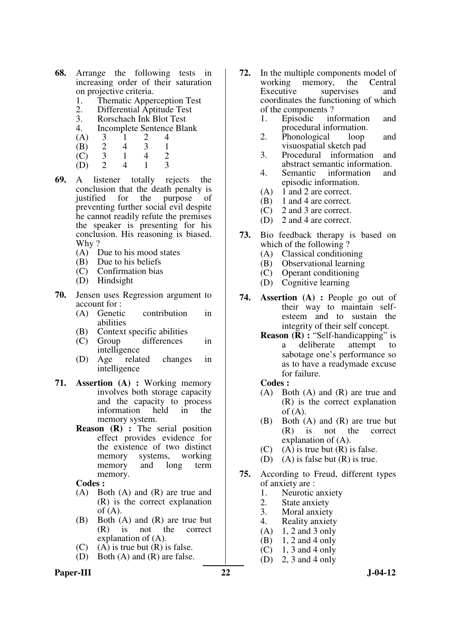- **68.** Arrange the following tests in increasing order of their saturation on projective criteria.
	- 1. Thematic Apperception Test<br>2. Differential Aptitude Test
	- 2. Differential Aptitude Test<br>3. Rorschach Ink Blot Test
	- 3. Rorschach Ink Blot Test<br>4. Incomplete Sentence Bla
	- Incomplete Sentence Blank<br> $\frac{3}{2}$   $\frac{1}{2}$   $\frac{2}{4}$
	- (A)  $3 \t 1 \t 2 \t 4$ <br>(B)  $2 \t 4 \t 3 \t 1$
- (B) 2 4 3 1
	- $\begin{array}{cccc} \text{(C)} & 3 & 1 & 4 & 2 \\ \text{(D)} & 2 & 4 & 1 & 3 \end{array}$
- (D) 2 4 1 3
- **69.** A listener totally rejects the conclusion that the death penalty is justified for the purpose of preventing further social evil despite he cannot readily refute the premises the speaker is presenting for his conclusion. His reasoning is biased. Why?
	- (A) Due to his mood states
	- (B) Due to his beliefs
	- (C) Confirmation bias
	- (D) Hindsight
- **70.** Jensen uses Regression argument to account for :
	- (A) Genetic contribution in abilities
	- (B) Context specific abilities
	- (C) Group differences in intelligence
	- (D) Age related changes in intelligence
- **71. Assertion (A) :** Working memory involves both storage capacity and the capacity to process<br>information held in the information memory system.
	- **Reason (R) :** The serial position effect provides evidence for the existence of two distinct memory systems, working memory and long term memory.

- (A) Both (A) and (R) are true and (R) is the correct explanation  $of (A)$ .
- (B) Both (A) and (R) are true but (R) is not the correct explanation of (A).
- (C) (A) is true but  $(R)$  is false.
- (D) Both (A) and (R) are false.

## Paper-III 22 J-04-12

- **72.** In the multiple components model of working memory, the Central Executive supervises and coordinates the functioning of which of the components ?
	- 1. Episodic information and procedural information.
	- 2. Phonological loop and visuospatial sketch pad
	- 3. Procedural information and abstract semantic information.
	- 4. Semantic information and episodic information.
	- (A) 1 and 2 are correct.
	- (B) 1 and 4 are correct.
	- (C) 2 and 3 are correct.
	- (D) 2 and 4 are correct.
- **73.** Bio feedback therapy is based on which of the following ?
	- (A) Classical conditioning
	- (B) Observational learning
	- (C) Operant conditioning
	- (D) Cognitive learning
- **74. Assertion (A) :** People go out of their way to maintain selfesteem and to sustain the integrity of their self concept.
	- **Reason (R) :** "Self-handicapping" is a deliberate attempt to sabotage one's performance so as to have a readymade excuse for failure.

- (A) Both (A) and (R) are true and (R) is the correct explanation of  $(A)$ .
- (B) Both (A) and (R) are true but (R) is not the correct explanation of (A).
- (C) (A) is true but  $(R)$  is false.
- (D) (A) is false but  $(R)$  is true.
- **75.** According to Freud, different types of anxiety are :
	- 1. Neurotic anxiety
	- 2. State anxiety<br>3. Moral anxiety
	- Moral anxiety
	- 4. Reality anxiety
	- $(A)$  1, 2 and 3 only
	- (B) 1, 2 and 4 only
	- $(C)$  1, 3 and 4 only
	- (D) 2, 3 and 4 only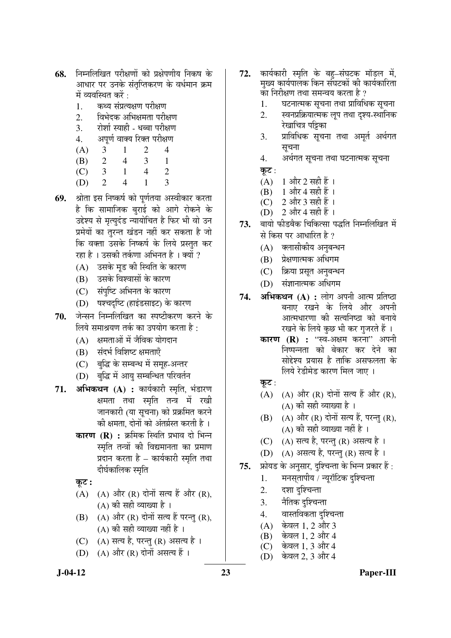- 68. निम्नलिखित परीक्षणों को प्रक्षेपणीय निकष के आधार पर उनके संतुप्तिकरण के वर्धमान क्रम में व्यवस्थित करें :
	- 1. कथ्य संप्रत्यक्षण परीक्षण
	- 2. विभेदक अभिक्षमता परीक्षण
	- 3. रोशो स्याही धब्बा परीक्षण
	- 4. अपर्ण वाक्य रिक्त परीक्षण
- (A) 3 1 2 4
	- (B) 2 4 3 1
- (C) 3 1 4 2
	- (D) 2 4 1 3
- **69.** श्रोता इस निष्कर्ष को पर्णतया अस्वीकार करता है कि सामाजिक बुराई को आगे रोकने के उद्देश्य से मृत्युदंड न्यायोचित है फिर भी वो उन प्रमेयों का तुरन्त खंडन नहीं कर सकता है जो कि वक्ता उसके निष्कर्ष के लिये प्रस्तुत कर रहा है । उसकी तर्कणा अभिनत है । क्यों ?
	- (A) उसके मड की स्थिति के कारण
	- (B) उसके विश्वासों के कारण
	- (C) संपुष्टि अभिनत के कारण
	- (D) षश्चदष्टि (हाइंडसाइट) के कारण
- 70. जेन्सन निम्नलिखित का स्पष्टीकरण करने के लिये समाश्रयण तर्क का उपयोग करता है:
	- $(A)$  क्षमताओं में जैविक योगदान
	- (B) संदर्भ विशिष्ट क्षमताएँ
	- (C) बद्धि के सम्बन्ध में समह-अन्तर
	- (D) बुद्धि में आयु सम्बन्धित परिवर्तन
- 71. अभिकथन (A) : कार्यकारी स्मृति, भंडारण क्षमता तथा स्मृति तन्त्र में रखी जानकारी (या सूचना) को प्रक्रमित करने की क्षमता. दोनों को अंतर्ग्रस्त करती है ।
	- **कारण (R) :** क्रमिक स्थिति प्रभाव दो भिन्न स्मृति तन्त्रों की विद्यमानता का प्रमाण प्रदान करता है – कार्यकारी स्मृति तथा दीर्घकालिक स्मृति
	- Ûæú™ü **:**
	- (A)  $(A)$  और  $(R)$  दोनों सत्य हैं और  $(R)$ , (A) की सही व्याख्या है ।
	- (B)  $(A)$  और  $(R)$  दोनों सत्य हैं परन्तु (R), (A) की सही व्याख्या नहीं है)।
	- $(C)$   $(A)$  सत्य है, परन्तु  $(R)$  असत्य है ।
	- (D)  $(A)$  और  $(R)$  दोनों असत्य हैं।
- **72.** कार्यकारी स्मृति के बह–संघटक मॉडल में. मुख्य कार्यपालक किन संघटकों की कार्यकारिता का निरीक्षण तथा समन्वय करता है ?
	- 1. घटनात्मक सूचना तथा प्राविधिक सूचना
	- <u>2. स्वनप्रक्रियात्मक लुप तथा दश्य-स्थानिक</u> रेखाचित्र पड़िका
	- 3. प्राविधिक सूचना तथा अमर्त अर्थगत सूचना
	- 4. अर्थगत सूचना तथा घटनात्मक सूचना
	- कुट:
	- $(A)$  1 और 2 सही हैं ।
	- (B) 1 और 4 सही हैं ।
	- $(C)$  2 और 3 सही हैं ।
	- (D)  $2 \frac{3\pi}{4}$  सही हैं ।
- 73. बायो फीडबैक चिकित्सा पद्धति निम्नलिखित में से किस पर आधारित है ?
	- (A) क्लासीकीय अनुबन्धन
	- (B) प्रेक्षणात्मक अधिगम
	- (C) क्रिया प्रसृत अनुबन्धन
	- (D) संज्ञानात्मक अधिगम
- **74. अभिकथन (A) :** लोग अपनी आत्म प्रतिष्ठा बनाए रखने के लिये और अपन<u>ी</u> आत्मधारणा की सत्यनिष्ठा को बनाये रखने के लिये कुछ भी कर गुजरते हैं ।
	- **कारण (R) : "**स्व-अक्षम करना" अपनी निष्पन्नता को बेकार कर देने का सोद्देश्य प्रयास है ताकि असफलता के लिये रेडीमेड कारण मिल जाए ।
	- कुट $:$
	- $(A)$   $(A)$  और  $(R)$  दोनों सत्य हैं और  $(R)$ , (A) की सही व्याख्या है ।
	- $(B)$   $(A)$  और  $(R)$  दोनों सत्य हैं, परन्तु  $(R)$ ,  $(A)$  की सही व्याख्या नहीं है ।
	- $(C)$   $(A)$  सत्य है, परन्तु  $(R)$  असत्य है ।
	- $(D)$   $(A)$  असत्य है, परन्तु (R) सत्य है।
- **75.** फ्रोयड के अनुसार, दुश्चिन्ता के भिन्न प्रकार हैं :
	- 1. THसतापीय / न्यरॉटिक दश्चिन्ता
	- 2. दशा दृश्चिन्ता
	- 3. नैतिक दृश्चिन्ता
	- 4. वास्तविकता दुश्चिन्ता
	- $(A)$  केवल 1, 2 और 3
	- (B) केवल 1, 2 और 4
	- $(C)$  केवल 1, 3 और 4
	- (D) केवल 2, 3 और 4

 **J-04-12 23 Paper-III**